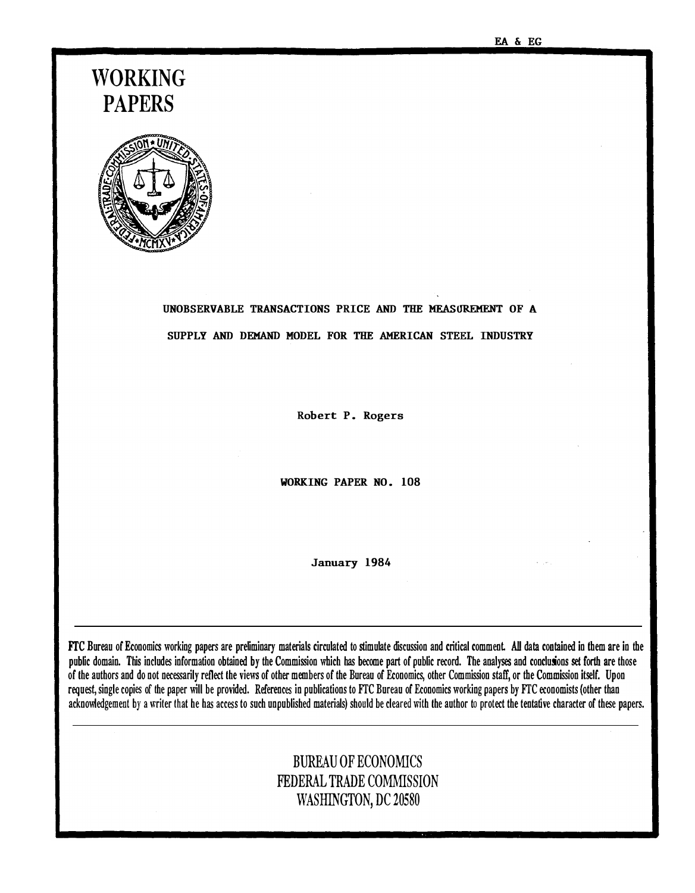EA & EG

# WORKING PAPERS



# UNOBSERVABLE TRANSACTIONS PRICE AND THE MEASUREMENT OF A SUPPLY AND DEMAND MODEL FOR THE AMERICAN STEEL INDUSTRY

Robert P. Rogers

WORKING PAPER NO. 108

January 1984

FTC Bureau of Economics working papers are preliminary materials circulated to stimulate discussion and critical comment. All data contained in them are in the public domain. This includes information obtained by the Commission which has become part of public record. The analyses and conclusions set forth are those of the authors and do not necessarily reflect the views of other members of the Bureau of Economics, other Commission staff, or the Commission itself. Upon request, single copies of the paper will be provided. References in publications to FTC Bureau of Economics working papers by FTC economists (other than acknowledgement by a writer that he has access to such unpublished materials) should be cleared with the author to protect the tentative character of these papers.

# BUREAU OF ECONOMICS FEDERAL TRADE COMMISSION WASHINGTON, DC 20580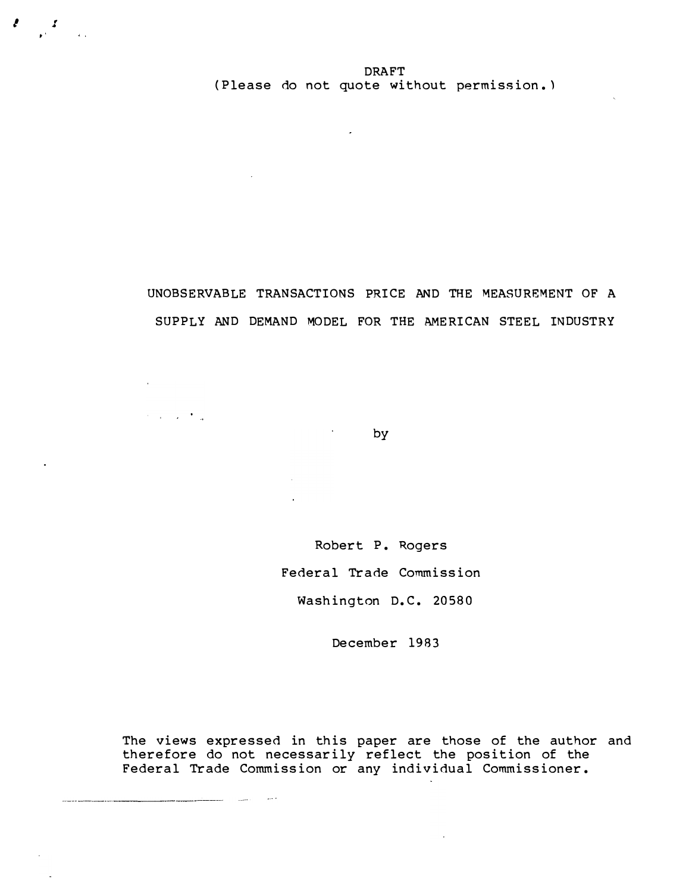**DRAFT** (Please do not quote without permission.)

UNOBSERVABLE TRANSACTIONS PRICE AND THE MEASUREMENT OF A SUPPLY AND DEMAND MODEL FOR THE AMERICAN STEEL INDUSTRY

by

 $\sim 10^{-1}$ 

 $\sim$  100  $\pm$ 

 $\label{eq:2.1} \mathcal{L}_{\mathcal{A}}(\mathcal{A})=\mathcal{L}_{\mathcal{A}}(\mathcal{A})\mathcal{A}(\mathcal{A}).$ 

Robert P. Rogers

Federal Trade Commission

Washington D.C. 20580

December 1983

The views expressed in this paper are those of the author and therefore do not necessarily reflect the position of the Federal Trade Commission or any individual Commissioner.

 $\mathbf{r}$  $\mathcal{L}$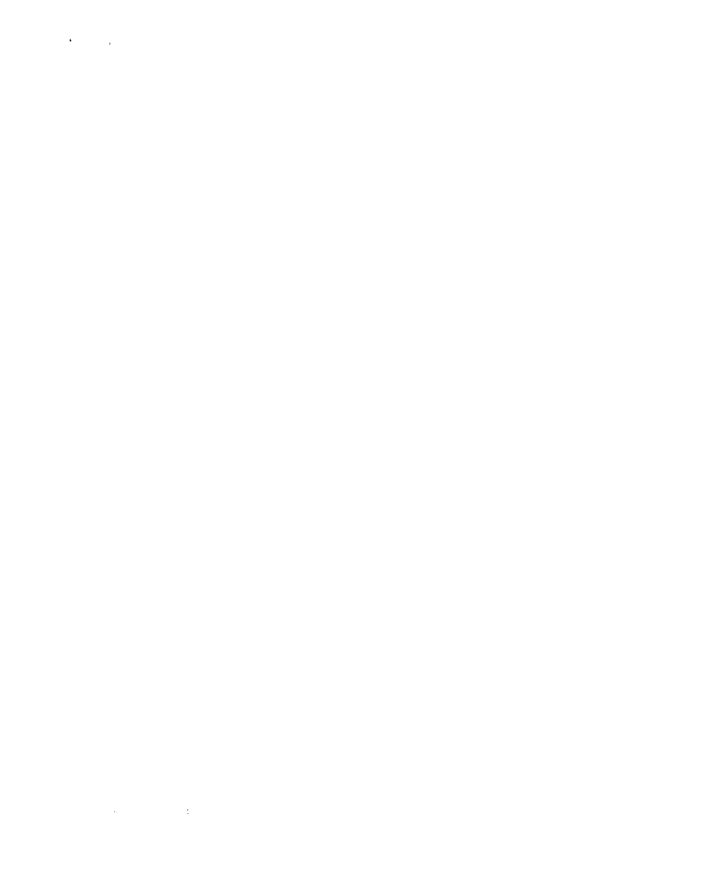$\mathcal{A}^{\mathcal{A}}_{\mathcal{A}}$  and  $\mathcal{A}^{\mathcal{A}}_{\mathcal{A}}$  and  $\mathcal{A}^{\mathcal{A}}_{\mathcal{A}}$ 

 $\label{eq:2.1} \mathcal{L}^{\text{max}}_{\text{max}}(\mathbf{w}^{\text{max}}_{\text{max}}, \mathbf{w}^{\text{max}}_{\text{max}}, \mathbf{w}^{\text{max}}_{\text{max}})$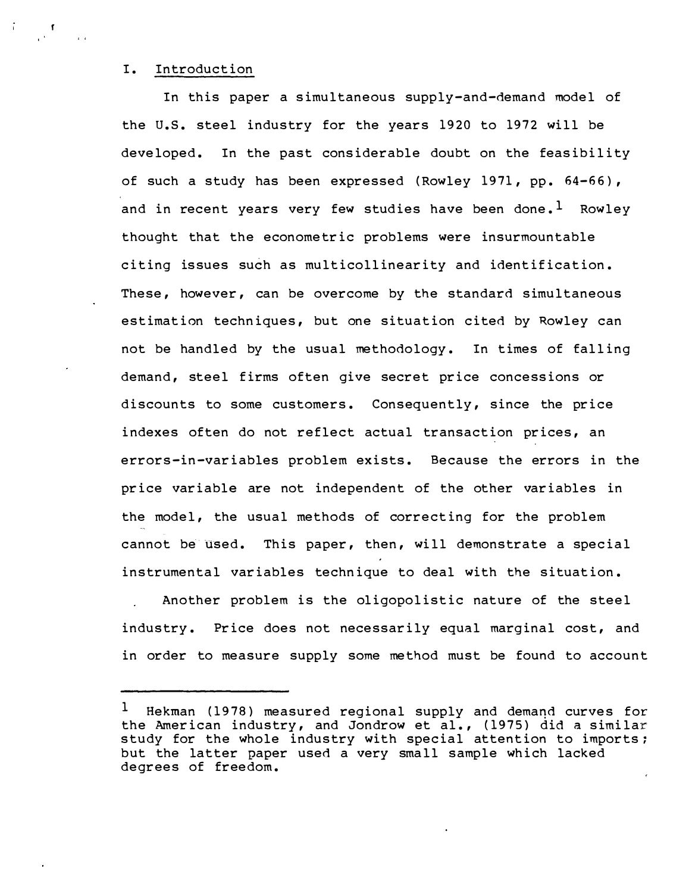## I. Introduction

In this paper a simultaneous supply-and-demand model of the u.s. steel industry for the years 1920 to 1972 will be developed. In the past considerable doubt on the feasibility of such a study has been expressed (Rowley 1971, pp. 64-66), and in recent years very few studies have been done.<sup>1</sup> Rowley thought that the econometric problems were insurmountable citing issues such as multicollinearity and identification. These, however, can be overcome by the standard simultaneous estimation techniques, but one situation cited by Rowley can not be handled by the usual methodology. In times of falling demand, steel firms often give secret price concessions or discounts to some customers. Consequently, since the price indexes often do not reflect actual transaction prices, an errors-in-variables problem exists. Because the errors in the price variable are not independent of the other variables in the model, the usual methods of correcting for the problem cannot be Used. This paper, then, will demonstrate a special instrumental variables techni que to deal with the situation.

Another problem is the oligopolistic nature of the steel industry. Price does not necessarily equal marginal cost, and in order to measure supply some method must be found to account

 $1$  Hekman (1978) measured regional supply and demand curves for the American industry, and Jondrow et al., (1975) did a similar study for the whole industry with special attention to imports; but the latter paper used a very small sample which lacked degrees of freedom.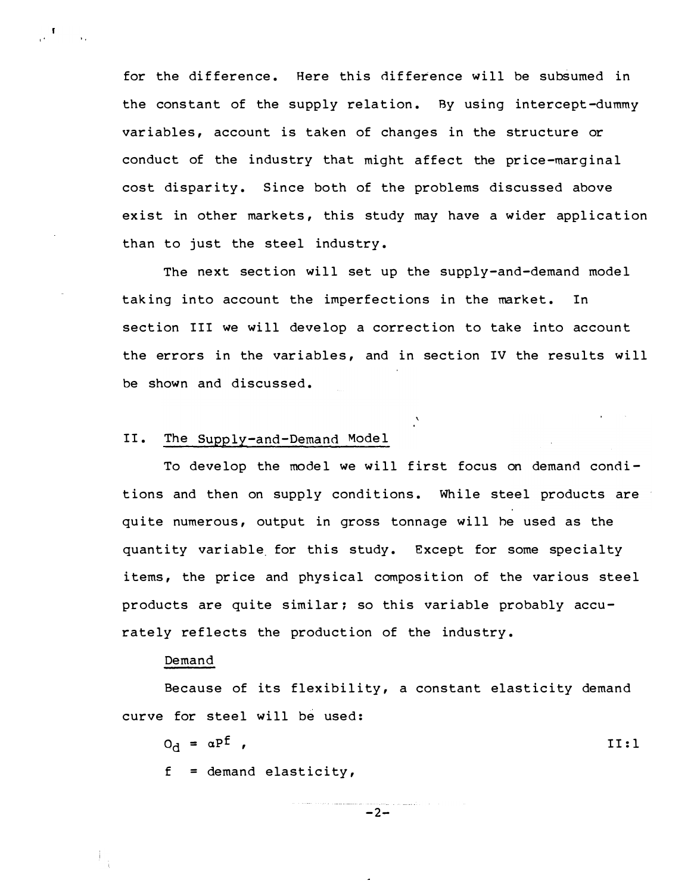for the difference. Here this difference will be subsumed in the constant of the supply relation. By using intercept-dummy variables, account is taken of changes in the structure or conduct of the industry that might affect the price-marginal cost disparity. Since both of the problems discussed above exist in other markets, this study may have a wider application than to just the steel industry.

The next section will set up the supply-and-demand model taking into account the imperfections in the market. In section III we will develop a correction to take into account the errors in the variables, and in section IV the results will be shown and discussed.

#### II. The Supply-and-Demand Model

To develop the model we will first focus on demand conditions and then on supply conditions. While steel products are quite numerous, output in gross tonnage will be used as the quantity variable. for this study. Except for some specialty items, the price and physical composition of the various steel products are quite similar; so this variable probably accurately reflects the production of the industry.

#### Demand

 $\sim 10$ 

Because of its flexibility, a constant elasticity demand curve for steel will be used:

 $Q_d = \alpha P^f$ , II: l

 $f =$  demand elasticity,

$$
-2-
$$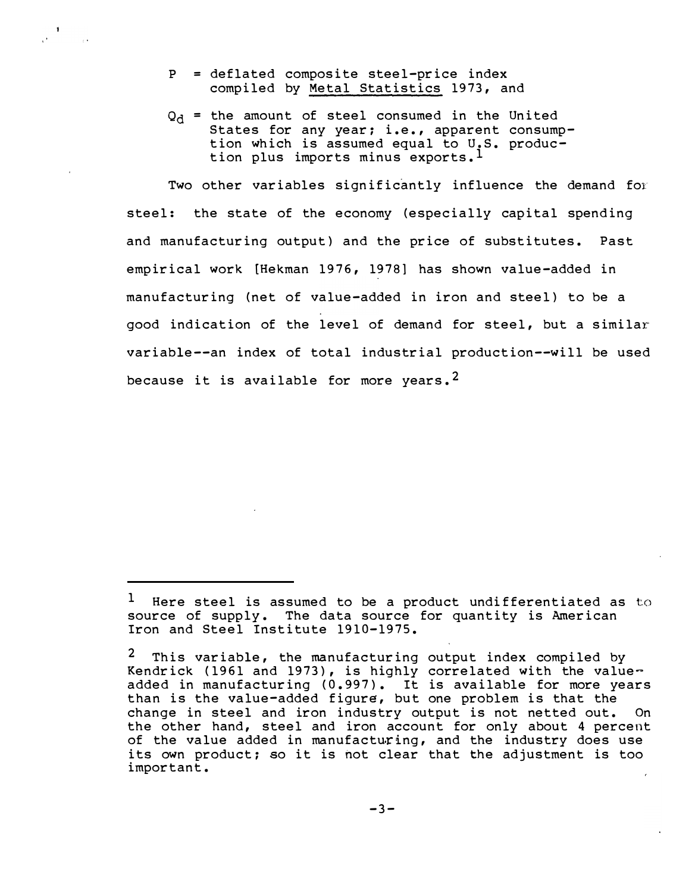- P = deflated composite steel-price index compiled by Metal Statistics 1973, and
- $Q_{\text{d}}$  = the amount of steel consumed in the United States for any year; i.e., apparent consumption which is assumed equal to U.S. production plus imports minus exports.<sup>1</sup>

Two other variables significantly influence the demand for steel: the state of the economy (especially capital spending and manufacturing output) and the price of substitutes. Past empirical work [Hekman 1976, 1978] has shown value-added in manufacturing (net of value-added in iron and steel) to be a good indication of the level of demand for steel, but a similar  $\mathbf r$ variable--an index of total industrial production--will be used because it is available for more years.<sup>2</sup>

Here steel is assumed to be a product undifferentiated as to source of supply. The data source for quantity is American Iron and Steel Institute 1910-1975.

<sup>&</sup>lt;sup>2</sup> This variable, the manufacturing output index compiled by Kendrick (1961 and 1973), is highly correlated with the valueadded in manufacturing (0.997). It is available for more years than is the value-added figure, but one problem is that the change in steel and iron industry output is not netted out. On the other hand, steel and iron account for only about 4 percent of the value added in manufacturing, and the industry does use its own product; so it is not clear that the adjustment is too important.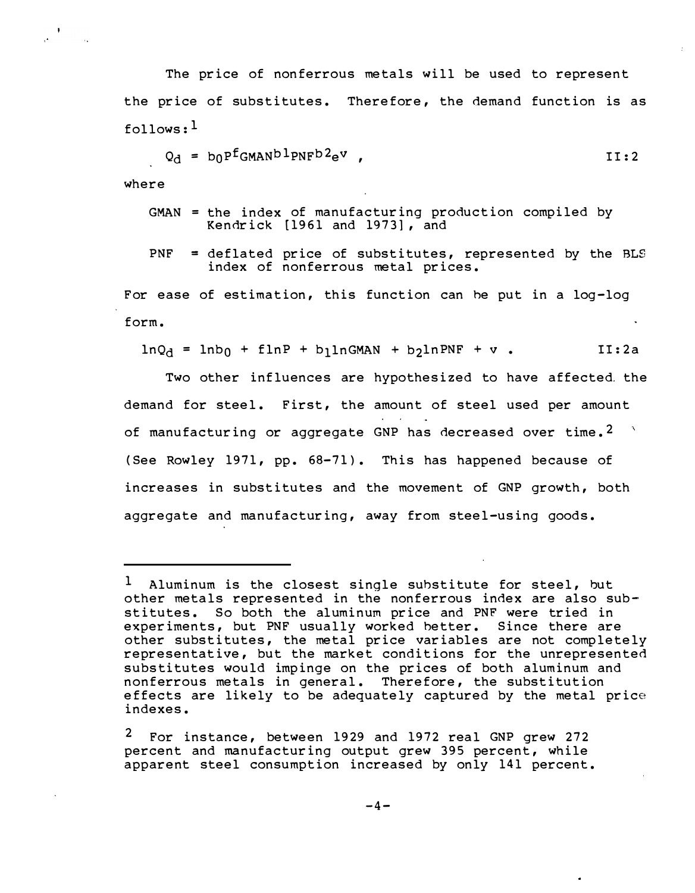The price of nonferrous metals will be used to represent the price of substitutes. Therefore, the demand function is as follows:  $<sup>1</sup>$ </sup>

 $Q_d = b_0 P^f G M A N^b 1 P N F^b 2 e^V$ II:2

where

- GMAN = the index of manufacturing production compiled by Kendrick [1961 and 1973], and
- PNF = deflated price of substitutes, represented by the BLS index of nonferrous metal prices.

For ease of estimation, this function can he put in a log-log form.

 $lnQ<sub>d</sub> = lnb<sub>0</sub> + finP + b<sub>1</sub>lnGMAN + b<sub>2</sub>lnPNF + v$  . II:2a

Two other influences are hypothesized to have affected. the demand for steel. First, the amount of steel used per amount of manufacturing or aggregate GNP has decreased over time.<sup>2</sup> (See Rowley 1971, pp. 68-71). This has happened because of increases in substitutes and the movement of GNP growth, both aggregate and manufacturing, away from steel-using goods.

 $1$  Aluminum is the closest single substitute for steel, but other metals represented in the nonferrous index are also substitutes. So both the aluminum price and PNF were tried in experiments, but PNF usually worked better. Since there are other substitutes, the metal price variables are not completely representative, but the market conditions for the unrepresented substitutes would impinge on the prices of both aluminum and nonferrous metals in general. Therefore, the substitution effects are likely to be adequately captured by the metal price indexes.

<sup>&</sup>lt;sup>2</sup> For instance, between 1929 and 1972 real GNP grew 272 percent and manufacturing output grew 395 percent, while apparent steel consumption increased by only 141 percent.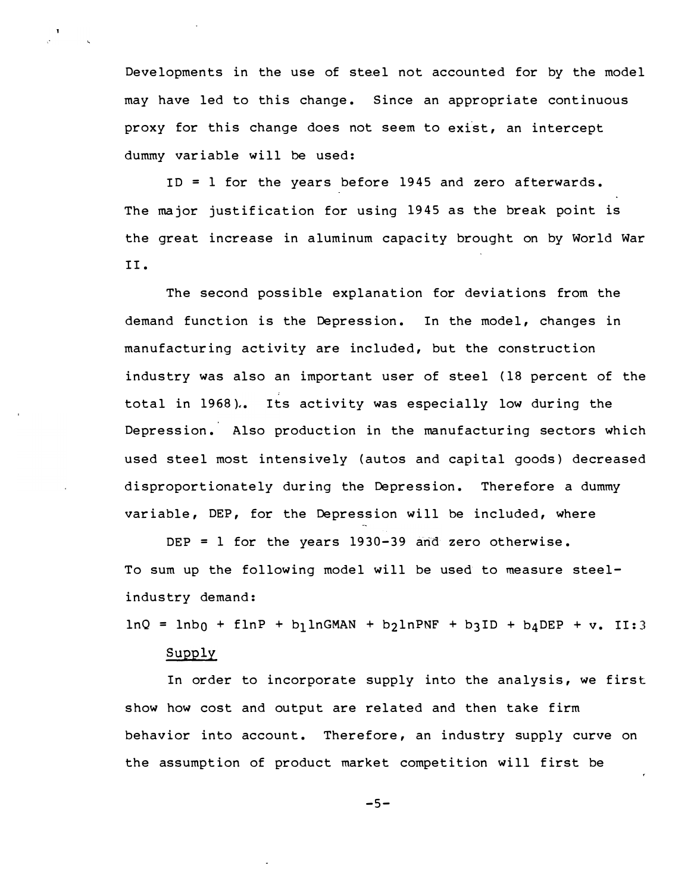Developments in the use of steel not accounted for by the model may have led to this change. Since an appropriate continuous proxy for this change does not seem to exist, an intercept dummy variable will be used:

ID = 1 for the years before 1945 and zero afterwards. The major justification for using 1945 as the break point is the great increase in aluminum capacity brought on by World War II.

The second possible explanation for deviations from the demand function is the Depression. In the model, changes in manufacturing activity are included, but the construction industry was also an important user of steel (18 percent of the total in 1968).. Its activity was especially low during the Depression. Also production in the manufacturing sectors which used steel most intensively (autos and capital goods) decreased disproportionately during the Depression. Therefore a dummy variable, DEP, for the Depression will be included, where

DEP = 1 for the years  $1930-39$  and zero otherwise. To sum up the following model will be used to measure steelindustry demand:

 $lnQ = lnb_0 + flnP + b_1lnGMAN + b_2lnPNF + b_3ID + b_4DEF + v. II:3$ 

Supply

In order to incorporate supply into the analysis, we first show how cost and output are related and then take firm behavior into account. Therefore, an industry supply curve on the assumption of product market competition will first be

 $-5-$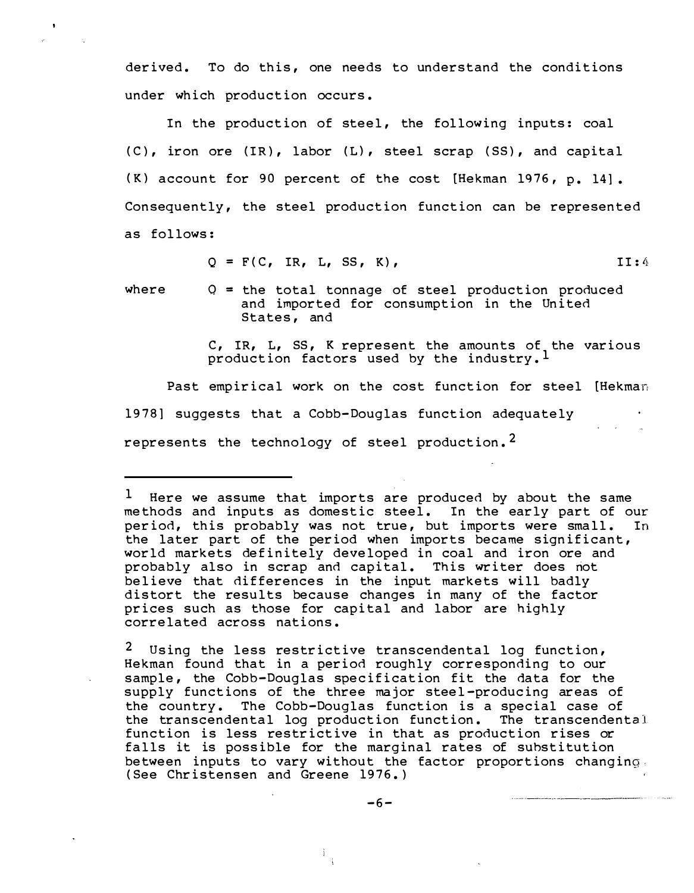derived. To do this, one needs to understand the conditions under which production occurs.

In the production of steel, the following inputs: coal (C), ir on ore (IR ), labor (L), steel scrap (SS), and capital  $(K)$  account for 90 percent of the cost [Hekman 1976, p. 14]. Consequently, the steel production function can be represented as follows:

$$
Q = F(C, IR, L, SS, K),
$$

where  $Q =$  the total tonnage of steel production produced and imported for consumption in the United States, and

> C, IR, L, SS, K represent the amounts of the various production factors used by the industry.  $^1$

Past empirical work on the cost function for steel [Hekman 1978] suggests that a Cobb-Douglas function adequately represents the technology of steel production.<sup>2</sup>

function is less restrictive in that as production rises or falls it is possible for the marginal rates of substitution between inputs to vary without the factor proportions changing <sup>2</sup> Using the less restrictive transcendental log function, Hekman found that in a period roughly corresponding to our sample, the Cobb-Douglas specification fit the data for the supply functions of the three major steel-producing areas of the country. The Cobb-Douglas function is a special case of the transcendental log production function. The transcendental (See Christensen and Greene 1976.)

 $-6-$ 

Ť,

<sup>&</sup>lt;sup>1</sup> Here we assume that imports are produced by about the same methods and inputs as domestic steel. In the early part of our period, this probably was not true, but imports were small. In the later part of the period when imports became significant, world markets definitely developed in coal and iron ore and probably also in scrap and capital. This writer does not believe that differences in the input markets will badly distort the results because changes in many of the factor prices such as those for capital and labor are highly correlated across nations.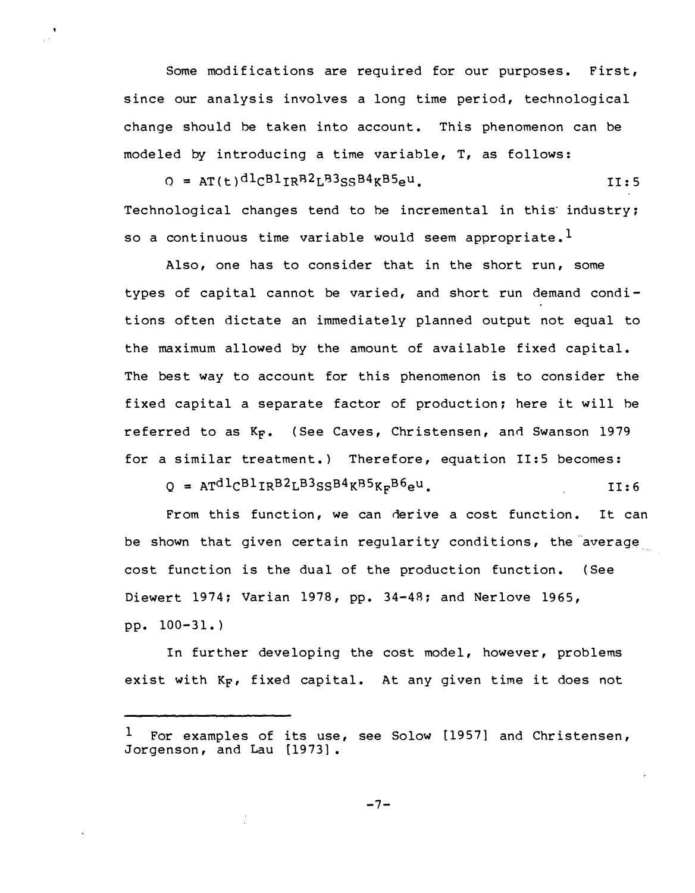Some modifications are required for our purposes. First, since our analysis involves a long time period, technological change should be taken into account. This phenomenon can be modeled by introducing a time variable, T, as follows:

 $Q = AT(t)d1cBI_{IR}B2LB3SSB4KB5e^u.$ Technological changes tend to be incremental in this industry; so a continuous time variable would seem appropriate.<sup>1</sup>

Also, one has to consider that in the short run, some types of capital cannot be varied, and short run demand conditions often dictate an immediately planned output not equal to the maximum allowed by the amount of available fixed capital. The best way to account for this phenomenon is to consider the fixed capital a separate factor of production; here it will he referred to as K<sub>F</sub>. (See Caves, Christensen, and Swanson 1979 for a similar treatment.) Therefore, equation II:5 becomes:

 $Q = AT^{d1}CB^{1}IRB^{2}L^{B3}SSB^{4}K^{B5}K_{F}B^{6}e^{u}$ . II: 6

From this function, we can derive a cost function. It can be shown that given certain regularity conditions, the average cost function is the dual of the production function. (See Diewert 1974; Varian 1978, pp. 34-4A; and Nerlove 1965, pp. 100-31.)

In further developing the cost model, however, problems exist with  $K_F$ , fixed capital. At any given time it does not

 $-7-$ 

 $^1$  For examples of its use, see Solow [1957] and Christensen, Jorgenson, and Lau [1973].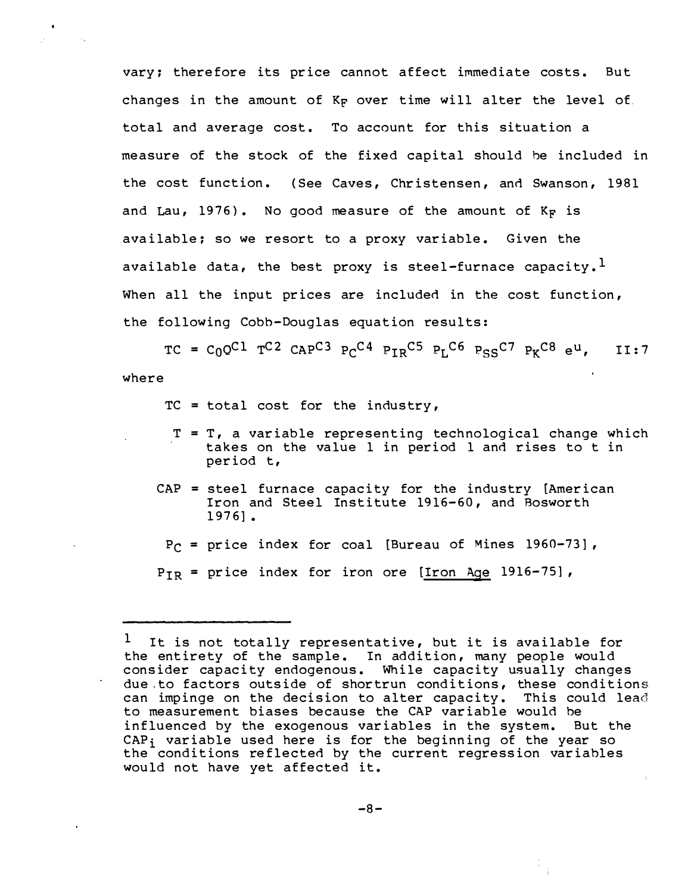vary; therefore its price cannot affect immediate costs. But ch anges in the amount of Kp over time will alter the level of. total and average cost. To account for this situation a measure of the stock of the fixed capital should be included in the cost function. {See Caves, Christensen, and Swanson, 1981 and Lau, 1976). No good measure of the amount of  $K_F$  is available; so we resort to a proxy variable. Given the available data, the best proxy is steel-furnace capacity.<sup>1</sup> When all the input prices are included in the cost function, the following Cobb-Douglas equation results:

TC =  $C_0Q^C1$  T<sup>C2</sup> CAP<sup>C3</sup> P<sub>C</sub><sup>C4</sup> P<sub>TR</sub><sup>C5</sup> P<sub>T</sub><sup>C6</sup> P<sub>SS</sub><sup>C7</sup> P<sub>K</sub><sup>C8</sup> e<sup>u</sup>, II:7 where

 $TC = total cost for the industry,$ 

- $T = T$ , a variable representing technological change which takes on the value 1 in period 1 and rises to t in period t,
- $CAP = steel$  furnace capacity for the industry [American Iron and Steel Institute 1916-60, and Bosworth 1976] •
	- $P_{\Gamma}$  = price index for coal [Bureau of Mines 1960-73],
- $\texttt{P}_{\text{IR}}$  = price index for iron ore [<u>Iron Age</u> 1916-75]**,**

 $1$  It is not totally representative, but it is available for the entirety of the sample. In addition, many people would consider capacity endogenous. While capacity usually changes due to factors outside of shortrun conditions, these conditions can impinge on the decision to alter capacity. This could lead to measurement biases because the CAP variable would be influenced by the exogenous variables in the system. But the  $CAP_i$  variable used here is for the beginning of the year so the conditions reflected by the current regression variables would not have yet affected it.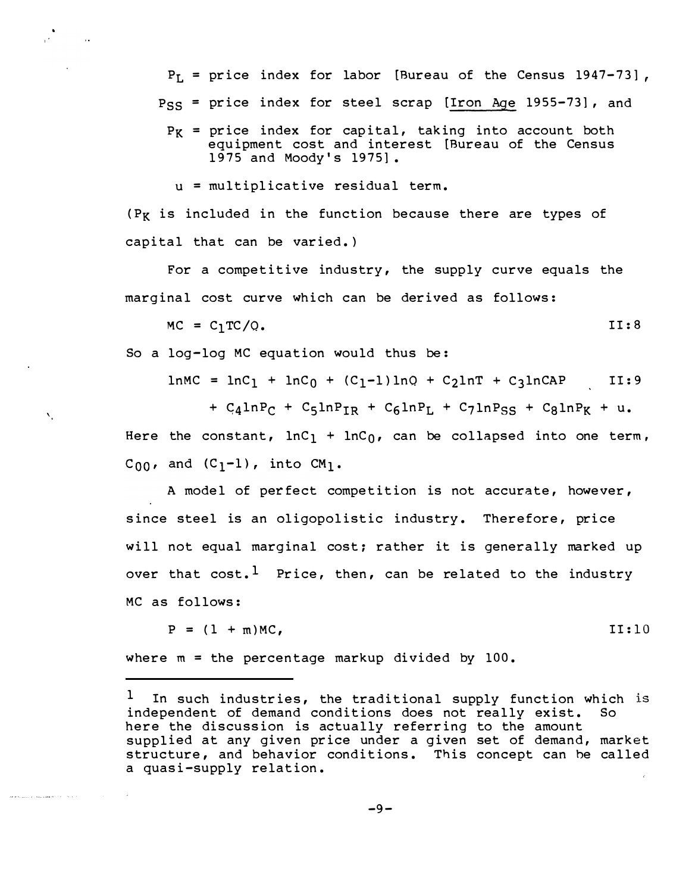P<sub>SS</sub> = price index for steel scrap [<u>Iron Age</u> 1955-73], and  $P_{L}$  = price index for labor [Bureau of the Census 1947-73],

 $P_K$  = price index for capital, taking into account both equipment cost and interest [Bureau of the Census 1975 and Moody's 1975].

 $u = multiplicative residual term.$ 

( $P_K$  is included in the function because there are types of capital that can be varied.)

For a competitive industry, the supply curve equals the marginal cost curve which can be derived as follows:

$$
MC = C_1TC/Q. \qquad \qquad \text{II}:8
$$

So a log-log MC equation would thus be:

$$
InMC = Inc1 + Inc0 + (C1-1)lnQ + C2lnT + C3lnCAP \t II:9
$$

+  $C_4$ lnP<sub>C</sub> +  $C_5$ lnP<sub>IR</sub> +  $C_6$ lnP<sub>L</sub> +  $C_7$ lnP<sub>SS</sub> +  $C_8$ lnP<sub>K</sub> + u. Here the constant,  $lnC_1$  +  $lnC_0$ , can be collapsed into one term,  $C_{00}$ , and  $(C_1-1)$ , into  $CM_1$ .

A model of perfect competition is not accurate, however, since steel is an oligopolistic industry. Therefore, price will not equal marginal cost; rather it is generally marked up over that  $cost.$ <sup>1</sup> Price, then, can be related to the industry MC as follows:

 $P = (1 + m)MC$ , II:10

'.

where m = the percentage markup divided by 100.

 $1$  In such industries, the traditional supply function which is independent of demand conditions does not really exist. So here the discussion is actually referring to the amount supplied at any given price under a given set of demand, market structure, and behavior conditions. This concept can be called a quasi-supply relation.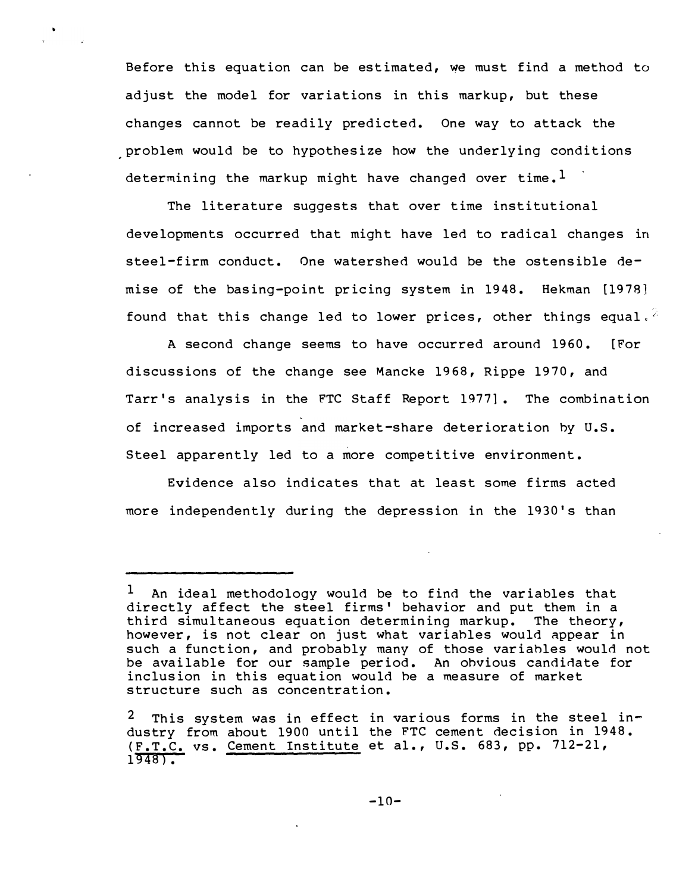Before this equation can be estimated, we must find a method to adjust the model for variations in this markup, but these changes cannot be readily predicted. One way to attack the problem would be to hypothesize how the underlying conditions determining the markup might have changed over time.<sup>1</sup>

The literature suggests that over time institutional developments occurred that might have led to radical changes in steel-firm conduct. One watershed would be the ostensible demise of the basing-point pricing system in  $1948$ . Hekman  $[1978]$ found that this change led to lower prices, other things equal. $^2$ 

A second change seems to have occurred around 1960. [For discussions of the change see Mancke 1968, Rippe 1970, and Tarr's analysis in the FTC Staff Report 1977]. The combination of increased imports and market-share deterioration hy u.s. Steel apparently led to a more competitive environment.

Evidence also indicates that at least some firms acted more independently during the depression in the 1930's than

An ideal methodology would be to find the variables that directly af fect the steel firms' behavior and put them in a third simultaneous equation determining markup. The theory, however, is not clear on just what variables would appear in such a function, and probably many of those variahles would not be available for our sample period. An obvious candidate for inclusion in this equation would be a measure of market structure such as concentration.

This system was in effect in various forms in the steel industry from about 1900 until the FTC cement decision in 1948. (F.T.C. vs. Cement Institute et al., u.s. 683, pp. 712-21, 1948).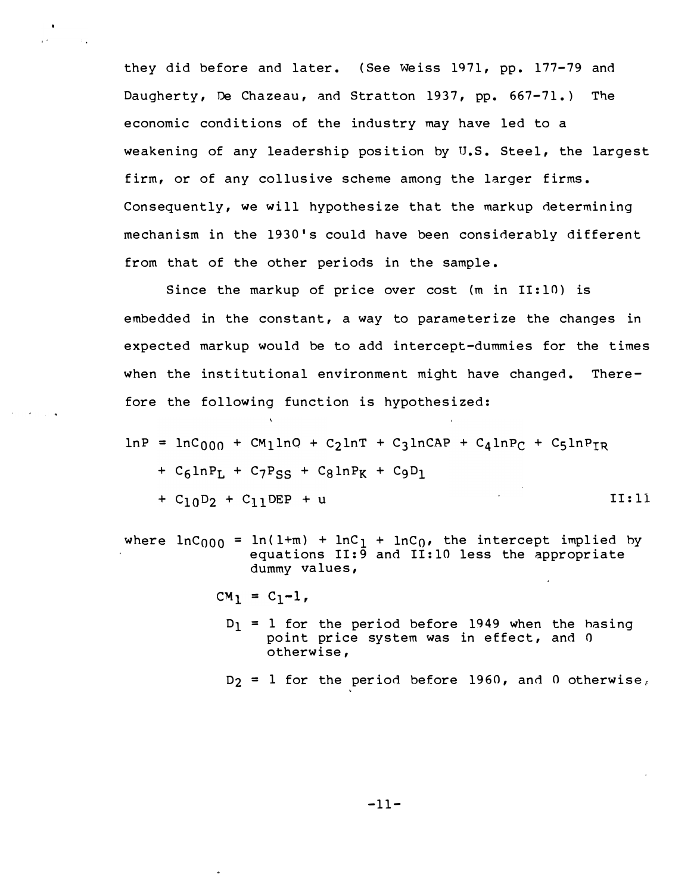they did before and later. (See Weiss 1971, pp. 177-79 and Daugherty, De Chazeau, and Stratton 1937, pp. 667-71.) The economic conditions of the industry may have led to a weakening of any leadership position by U.S. Steel, the largest firm, or of any collusive scheme among the larger firms. Consequently, we will hypothesize that the markup determining mechanism in the 1930's could have been considerably different from that of the other periods in the sample.

Since the markup of price over cost  $(m in II:10)$  is embedded in the constant, a way to parameterize the changes in expected markup would be to add intercept-dummies for the times when the institutional environment might have changed. Therefore the following function is hypothesized:

 $lnP = lnC_{000} + CM_{1}lnO + C_{2}lnT + C_{3}lnCAP + C_{4}lnP_{C} + C_{5}lnP_{TR}$ +  $C_6$ lnP<sub>L</sub> +  $C_7$ P<sub>SS</sub> +  $C_8$ lnP<sub>K</sub> +  $C_9$ D<sub>1</sub> II: 11 +  $C_{10}D_2$  +  $C_{11}DEP$  + u

where  $\ln C_{000}$  =  $\ln(1+m)$  +  $\ln C_1$  +  $\ln C_0$ , the intercept implied by equations  $II: 9$  and  $II: 10$  less the appropriate dummy values,

 $CM_1 = C_1 - 1$ ,

 $D_1 = 1$  for the period before 1949 when the hasing point price system was in effect, and 0 otherwise,

 $D_2 = 1$  for the period before 1960, and 0 otherwise,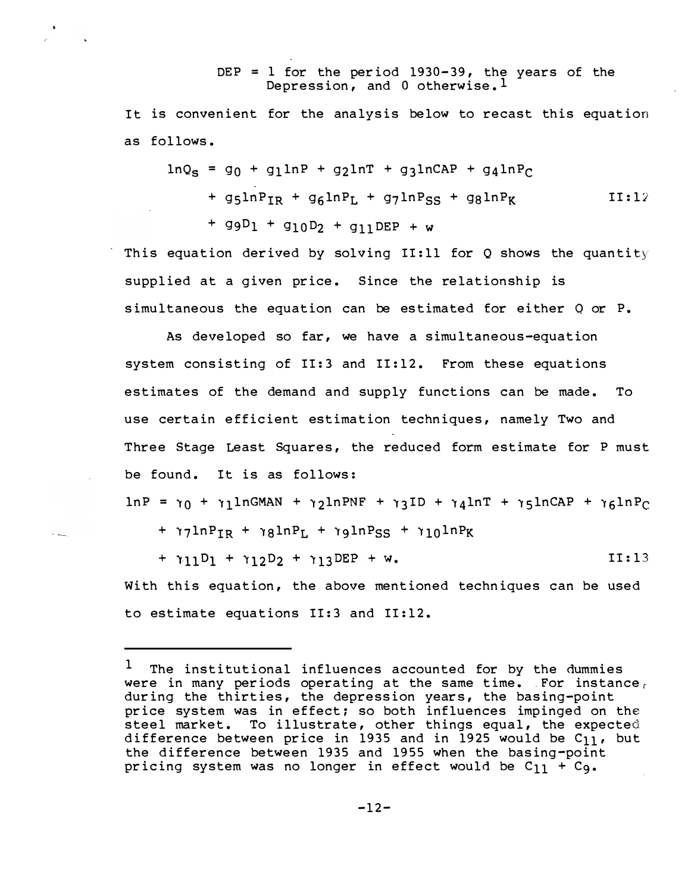#### $DEF = 1$  for the period 1930-39, the years of the Depression, and 0 otherwise.<sup>1</sup>

It is convenient for the analysis below to recast this equation as follows.

 $lnQ_S = g_0 + g_1 lnP + g_2 lnT + g_3 lnCAP + g_4 lnP_C$  $+$  g<sub>5</sub>lnP<sub>IR</sub> + g<sub>6</sub>lnP<sub>I</sub><sub>L</sub> + g<sub>7</sub>lnP<sub>SS</sub> + g<sub>8</sub>lnP<sub>K</sub> II:12

 $+$  g<sub>9</sub>D<sub>1</sub> + g<sub>10</sub>D<sub>2</sub> + g<sub>11</sub>DEP + w

This equation derived by solving II:ll for Q shows the quantity supplied at a given price. Since the relationship is simultaneous the equation can be estimated for either Q or P.

As developed so far, we have a simultaneous-equation system consisting of II:3 and II:12. From these equations estimates of the demand and supply functions can be made. To use certain efficient estimation techniques, namely Two and Three Stage Least Squares, the reduced form estimate for P must be found. It is as follows:

 $lnP = \gamma_0 + \gamma_1 lnGMAN + \gamma_2 lnPNF + \gamma_3 ID + \gamma_4 lnT + \gamma_5 lnCAP + \gamma_6 lnP_C$ 

 $+ \gamma$ 7lnP<sub>IR</sub> +  $\gamma$ 8lnP<sub>I</sub> +  $\gamma$ 9lnP<sub>SS</sub> +  $\gamma$ <sub>10</sub>lnP<sub>K</sub>

 $+ \gamma_{11}D_1 + \gamma_{12}D_2 + \gamma_{13}DEP + w.$ II: l3

With this equation, the above mentioned techniques can be used to estimate equations II:3 and II:12.

 $1$  The institutional influences accounted for by the dummies were in many periods operating at the same time. For instance, during the thirties, the depression years, the basing-point price system was in effect; so both influences impinged on the steel market. To illustrate, other things equal, the expected difference between price in 1935 and in 1925 would be  $C_{11}$ , but the difference between 1935 and 1955 when the basing-point pricing system was no longer in effect would be  $C_{11} + C_{9}$ .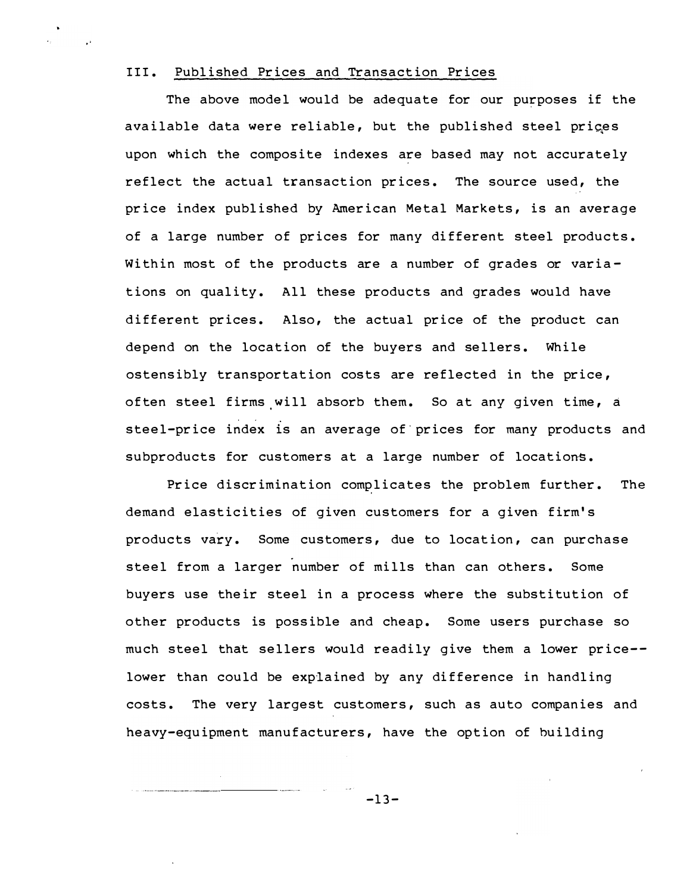### III. Published Prices and Transaction Prices

The above model would be adequate for our purposes if the available data were reliable, but the published steel prices upon which the composite indexes are based may not accurately reflect the actual transaction prices. The source used, the price index published by American Metal Markets, is an average of a large number of prices for many different steel products. Within most of the products are a number of grades or variations on quality. All these products and grades would have different prices. Also, the actual price of the product can depend on the location of the buyers and sellers. While ostensibly transportation costs are reflected in the price, often steel firms will absorb them. So at any given time, a ' ' ·• steel-price index is an average of prices for many products and subproducts for customers at a large number of locations.

Price discrimination complicates the problem further. The demand elasticities of given customers for a given firm's products vary. Some customers, due to location, can purchase steel from a larger number of mills than can others. Some buyers use their steel in a process where the substitution of other products is possible and cheap. Some users purchase so much steel that sellers would readily give them a lower price lower than could be explained by any difference in handling costs. The very largest customers, such as auto companies and heavy-equipment manufacturers, have the option of building

 $-13-$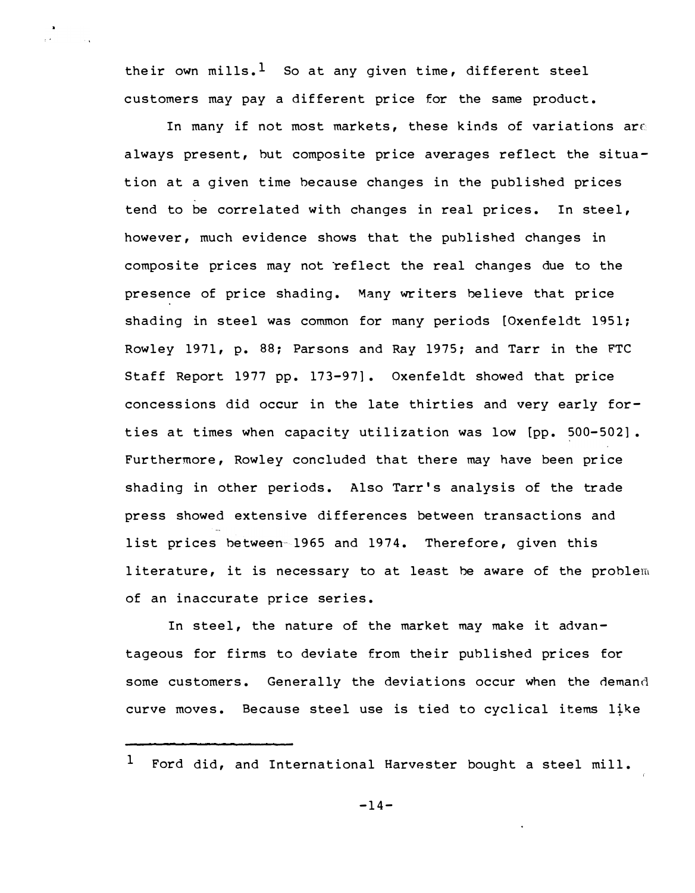their own mills.<sup>1</sup> So at any given time, different steel customers may pay a different price for the same product.

press showed extensive differences between transactions and list prices between $\scriptstyle\rm -1965$  and  $\scriptstyle\rm 1974$ . Therefore, given this In many if not most markets, these kinds of variations are always present, but composite price averages reflect the situation at a given time because changes in the published prices tend to be correlated with changes in real prices. In steel, however, much evidence shows that the published changes in comp osite prices may not re flect the real changes due to the presence of price shading. Many writers believe that price shading in steel was common for many periods [Oxenfeldt 1951; Rowley 1971, p. 88; Par sons and Ray 1975; and Tarr in the FTC Staff Report 1977 pp. 173-97]. Oxenfeldt showed that price concessions did occur in the late thirties and very early forties at times when capacity utilization was low [pp. 500-502]. Furthermore, Rowley concluded that there may have been price shading in other periods. Also Tarr's analysis of the trade literature, it is necessary to at least be aware of the problem of an inaccurate price series.

In steel, the nature of the market may make it advantageous for firms to deviate from their published prices for some customers. Generally the deviations occur when the demand curve moves. Because steel use is tied to cyclical items like

 $1$  Ford did, and International Harvester bought a steel mill.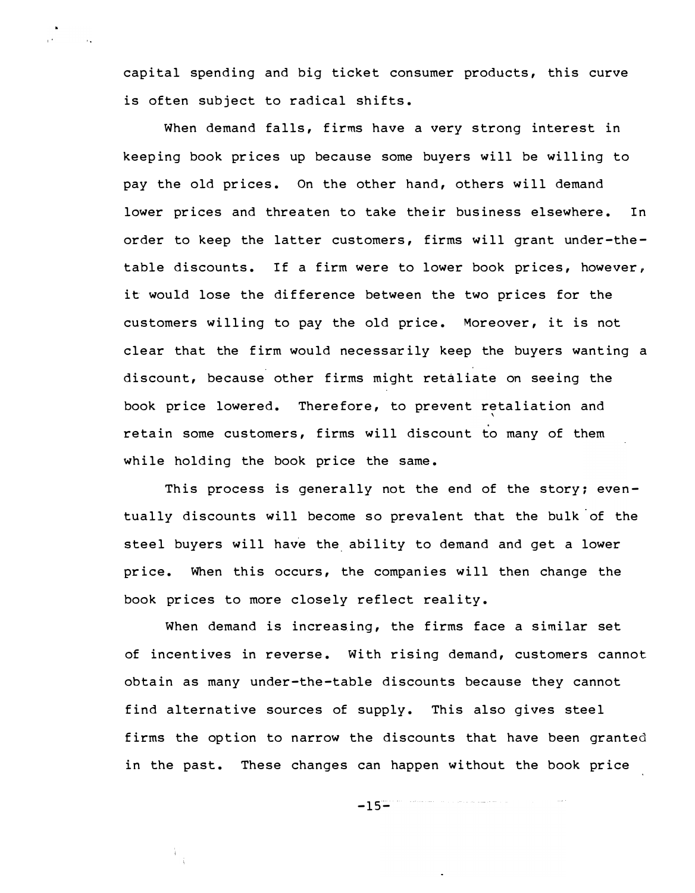capital spending and big ticket consumer products, this curve is often subject to radical shifts.

retain some customers, firms will discount to many of them When demand falls, firms have a very strong interest in keep ing book prices up because some buyers will be willing to pay the old prices. On the other hand, others will demand lower prices and threaten to take their business elsewhere. In order to keep the latter customers, firms will grant under-thetable discounts. If a firm were to lower book prices, however, it would lose the difference between the two prices for the customers willing to pay the old price. Moreover, it is not clear that the firm would necessarily keep the buyers wanting a discount, because other firms might retaliate on seeing the book price lowered. Therefore, to prevent retaliation and while holding the book price the same.

This process is generally not the end of the story; eventually discounts will become so prevalent that the bulk of the steel buyers will have the ability to demand and get a lower price. When this occurs, the companies will then change the book prices to more closely reflect reality.

When demand is increasing, the firms face a similar set of incentives in reverse. With rising demand, customers cannot obtain as many under-the-table discounts because they cannot find alternative sources of supply. This also gives steel firms the option to narrow the discounts that have been granted in the past. These changes can happen without the book price

 $-15-$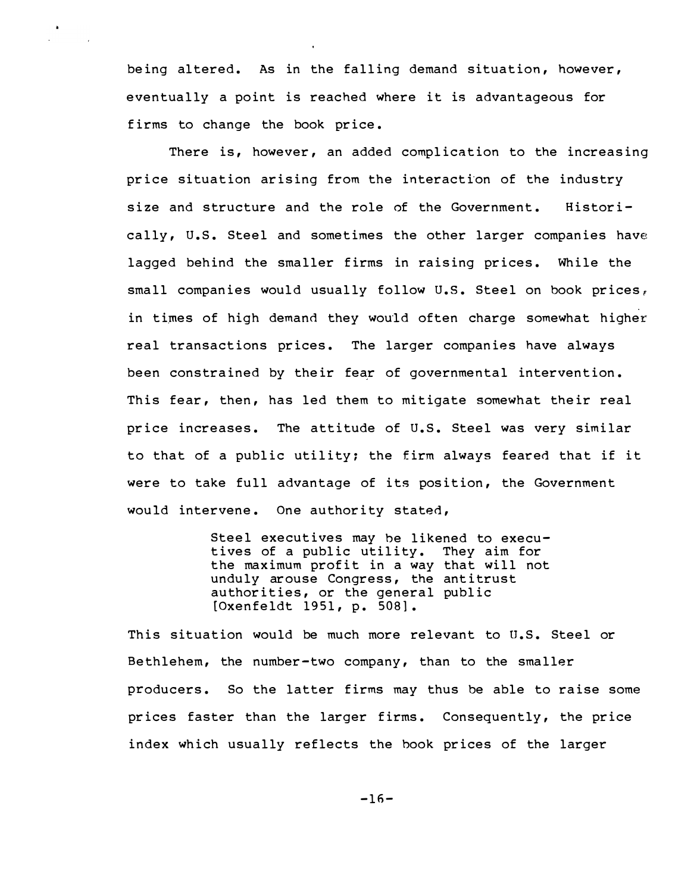being altered. As in the falling demand situation, however, eventually a point is reached where it is advantageous for firms to change the book price.

There is, however, an added complication to the increasing price situation arising from the interaction of the industry size and structure and the role of the Government. Historically, u.s. Steel and sometimes the other larger companies have lagged behind the smaller firms in raising prices. While the small companies would usually follow U.S. Steel on book prices, in times of high demand they would often charge somewhat higher real transactions prices. The larger companies have always been constrained by their fear of governmental intervention. This fear, then, has led them to mitigate somewhat their real price increases. The attitude of U.S. Steel was very similar to that of a public utility; the firm always feared that if it were to take full advantage of its position, the Government would intervene. One authority stated,

> Steel executives may be likened to executives of a public utility. They aim for the maximum profit in a way that will not unduly ar ouse Congress, the antitrust authorities, or the general public [Oxenfeldt 1951, p. 508].

This situation would be much more relevant to U.S. Steel or Bethlehem, the number-two company, than to the smaller producers. So the latter firms may thus be able to raise some prices faster than the larger firms. Consequently, the price index which usually reflects the book prices of the larger

 $-16-$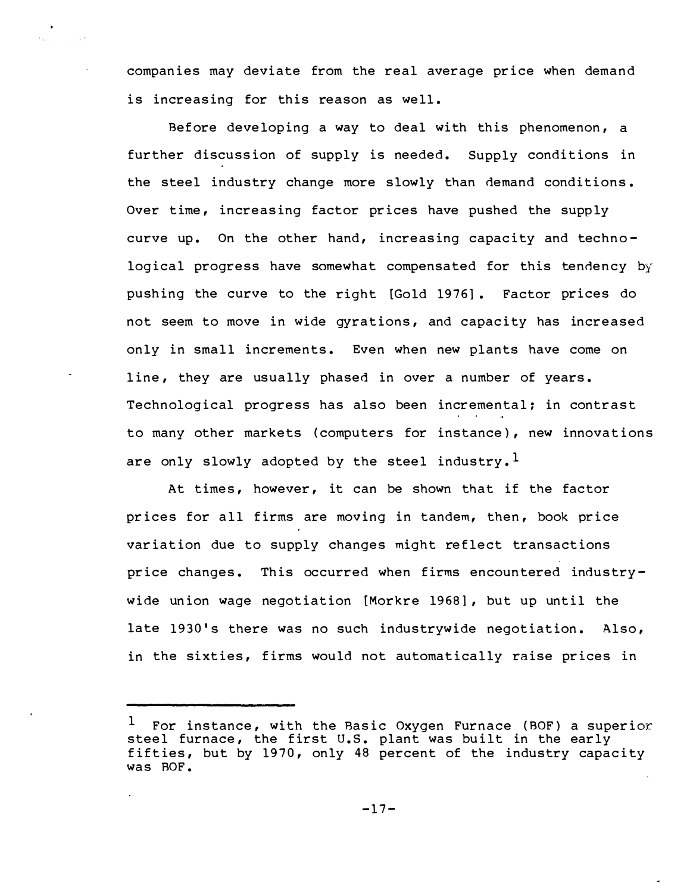companies may deviate from the real average price when demand is increasing for this reason as well.

Before developing a way to deal with this phenomenon, a further discussion of supply is needed. Supply conditions in the steel industry change more slowly than demand conditions. Over time, increasing factor prices have pushed the supply curve up. On the other hand, increasing capacity and technological progress have somewhat compensated for this tendency by pushing the curve to the right [Gold 1976]. Factor prices do not seem to move in wide gyrations, and capacity has increased only in small increments. Even when new plants have come on line, they are usually phased in over a number of years. Technological progress has also been incremental; in contrast to many other markets (computers for instance), new innovations are only slowly adopted by the steel industry.<sup>1</sup>

At times, however, it can be shown that if the factor prices for all firms are moving in tandem, then, book price variation due to supply changes might reflect transactions price changes. This occurred when firms encountered industrywide union wage negotiation [Morkre 1968], but up until the late 1930's there was no such industrywide negotiation. Also, in the sixties, firms would not automatically raise prices in

 $-17-$ 

 $1$  For instance, with the Basic Oxygen Furnace (BOF) a superior steel furnace, the first U.S. plant was built in the early fifties, but by 1970, only 48 percent of the industry capacity was BOF.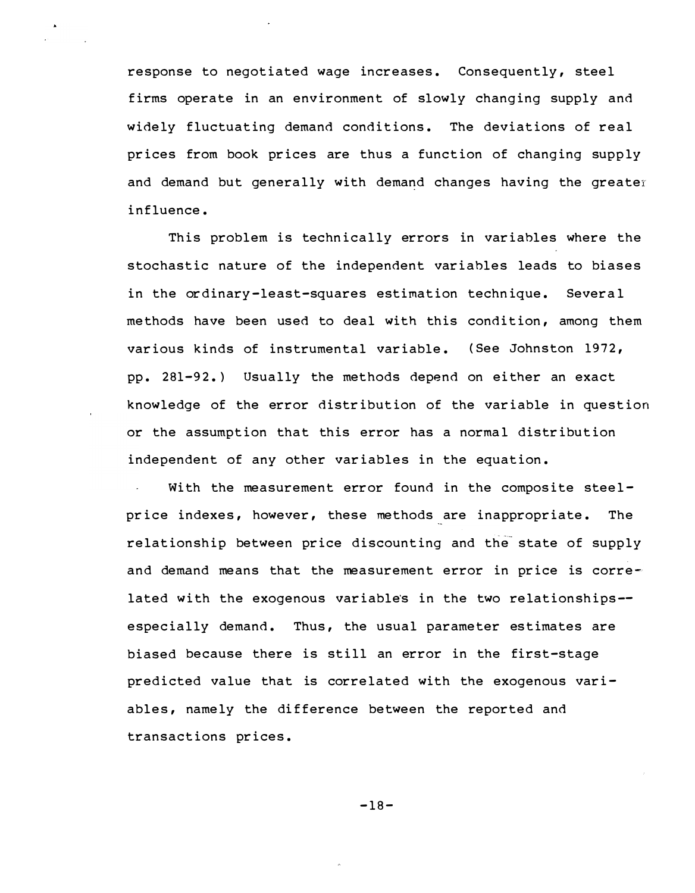response to negotiated wage increases. Consequently, steel firms operate in an environment of slowly changing supply and widely fluctuating demand conditions. The deviations of real prices from book prices are thus a function of changing supply and demand but generally with demand changes having the greater influence.

This problem is technically errors in variables where the stochastic nature of the independent variables leads to biases in the ordinary-least-squares estimation technique. Several methods have been used to deal with this condition, among them various kinds of instrumental variable. (See Johnston 1972, pp. 281-92.) Usually the methods depend on either an exact or the assumption that this error has a normal distribution knowledge of the error distribution of the variable in question independent of any other variables in the equation.

With the measurement error found in the composite steelprice indexes, however, these methods are inappropriate. The relationship between price discounting and the state of supply and demand means that the measurement error in price is corre lated with the exogenous variables in the two relationships especially demand. Thus, the usual parameter estimates are biased because there is still an error in the first-stage predicted value that is correlated with the exogenous variables, namely the difference between the reported and transactions prices.

 $-18-$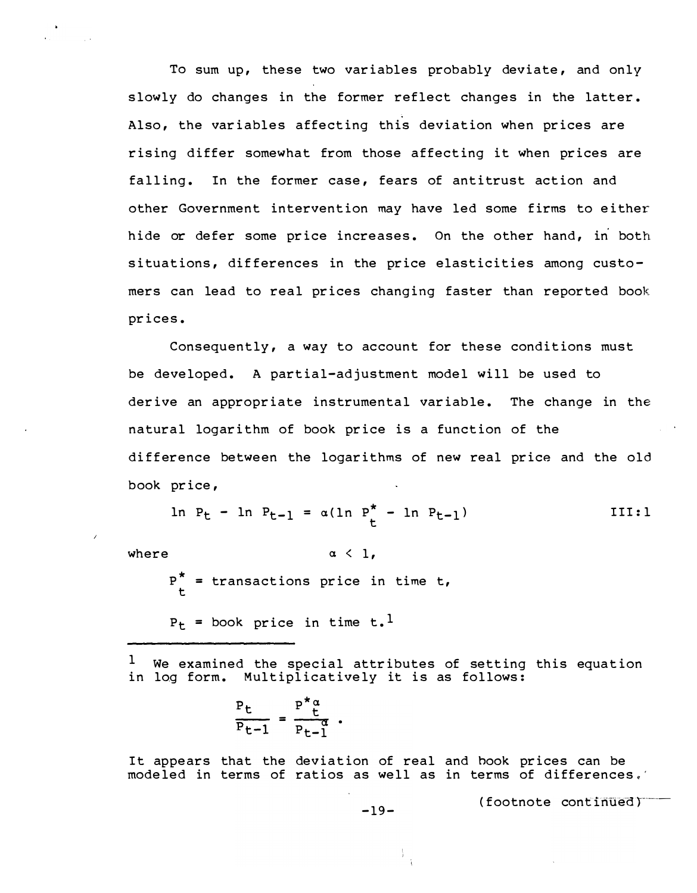To sum up, these two variables probably deviate, and only slowly do changes in the former reflect changes in the latter. Also, the variables affecting this deviation when prices are rising differ somewhat from those affecting it when prices are falling. In the former case, fears of antitrust action and other Government intervention may have led some firms to either hide or defer some price increases. On the other hand, in both situations, differences in the price elasticities among customers can lead to real prices changing faster than reported book prices.

Consequently, a way to account for these conditions must be developed. A partial-adjustment model will be used to derive an appropriate instrumental variable. The change in the natural logarithm of book price is a function of the difference between the logarithms of new real price and the old book price,

$$
\ln P_t - \ln P_{t-1} = \alpha (\ln P_t^* - \ln P_{t-1})
$$
 III:1

where

 $P^*$  = transactions price in time t,  $P_t$  = book price in time t.<sup>1</sup>

 $\alpha \leq 1$ ,

ı We examined the special attributes of setting this equation in log form. Multiplicatively it is as follows:

$$
\frac{P_t}{P_{t-1}} = \frac{P^* \alpha}{P_{t-1}}.
$$

It appears that the deviation of real and book prices can be modeled in terms of ratios as well as in terms of differences.

(footnote continued)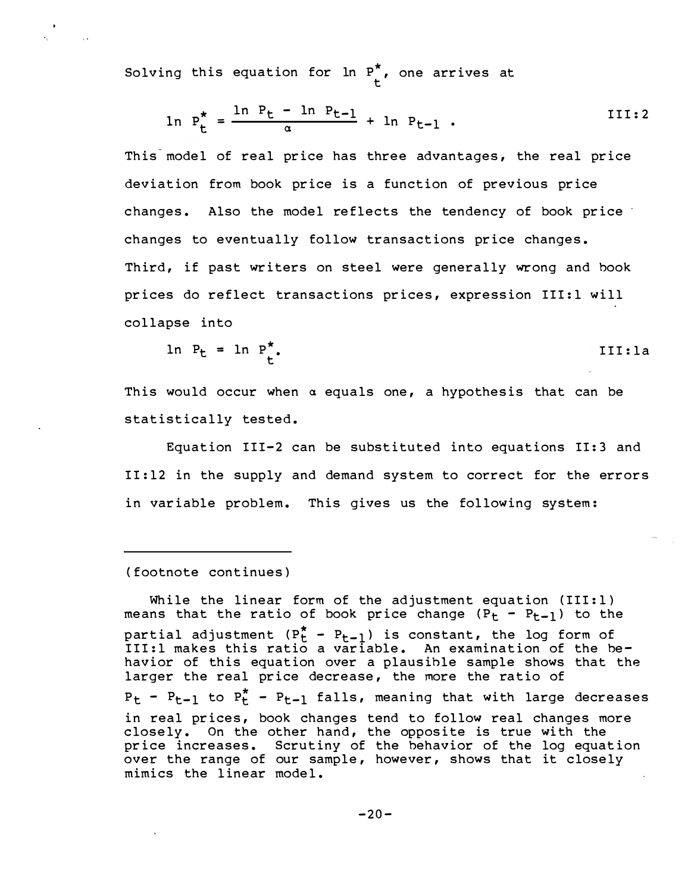Solving this equation for ln  $P^*$ , one arrives at t

$$
\ln \ \ P_{t}^{*} = \frac{\ln \ P_{t} - \ln \ P_{t-1}}{\alpha} + \ln \ P_{t-1} \ .
$$

This model of real price has three advantages, the real price  $\,$ deviation from book price is a function of previous price changes. Also the model re flects the tendency of book price changes to eventually follow transactions price changes. Third, if past writers on steel were generally wrong and book prices do reflect transactions prices, expression III:l will collapse into

$$
\ln P_{t} = \ln P_{t}^{\star}.
$$
III:1a

This would occur when  $\alpha$  equals one, a hypothesis that can be statistically tested.

Equation III-2 can be substituted into equations II:3 and II:12 in the supply and demand system to correct for the errors in variable problem. This gives us the following system:

(footnote continues)

While the linear form of the adjustment equation (III:1) means that the ratio of book price change  $(P_t - P_{t-1})$  to the partial adjustment ( $P_t^{\tau}$  -  $P_{t-1}$ ) is constant, the log form of III:1 makes this ratio a variable. An examination of the behavior of this equation over a plausible sample shows that the larger the real price decrease, the more the ratio of  $P_t$  -  $P_{t-1}$  to  $P_t^*$  -  $P_{t-1}$  falls, meaning that with large decreases in real prices, book changes tend to follow real changes more closely. On the other hand, the opposite is true with the price increases. Scrutiny of the behavior of the log equation over the range of our sample, however, shows that it closely mimics the linear model.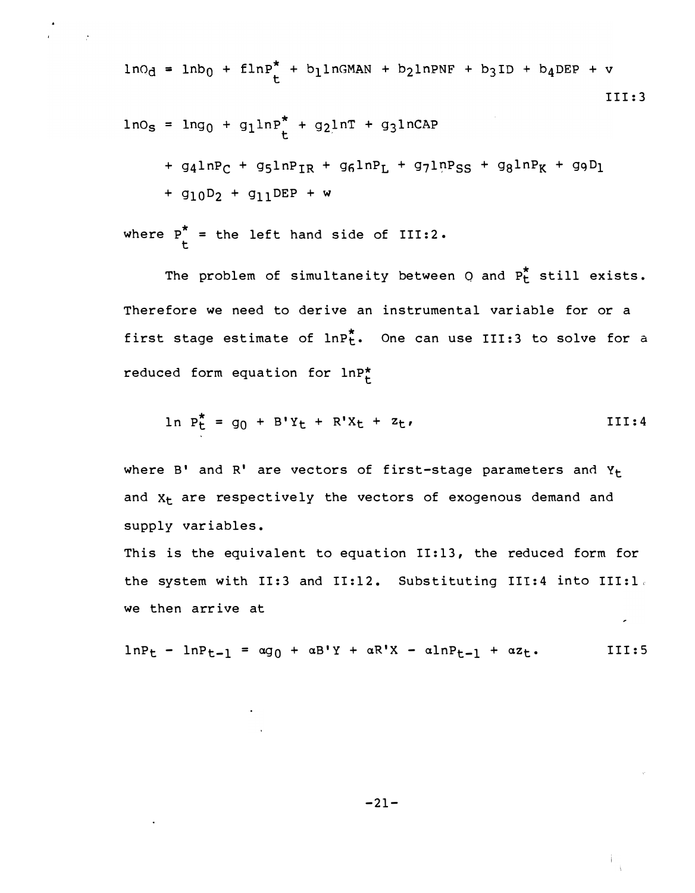$\ln O_d = \ln b_0 + \ln P_+^{\star} + b_1 \ln GMAN + b_2 \ln PNF + b_3 ID + b_4 DEP + v$ III: 3  $lnO_S = lng_0 + g_1lnP_+^* + g_2lnT + g_3lnCAP$ 

+  $g_4lnP_C$  +  $g_5lnP_{IR}$  +  $g_6lnP_L$  +  $g_7lnP_{SS}$  +  $g_8lnP_K$  +  $g_9D_1$ +  $g_{10}D_2$  +  $g_{11}DEP$  + w

where  $P_{i}^{*}$  = the left hand side of III:2. t

The problem of simultaneity between  $Q$  and  $P_t^*$  still exists. Therefore we need to derive an instrumental variable for or a first stage estimate of  $ln P_t^{\pi}$ . One can use III:3 to solve for a reduced form equation for lnP\*

$$
\ln P_t^{\star} = g_0 + B^{\dagger} Y_t + R^{\dagger} X_t + z_t, \qquad \text{III:4}
$$

where B' and R' are vectors of first-stage parameters and  $Y_t$ and  $X_t$  are respectively the vectors of exogenous demand and supply variables.

This is the equivalent to equation  $II: 13$ , the reduced form for the system with II:3 and II:12. Substituting III:4 into III:1, we then arrive at

 $lnP_t - lnP_{t-1} = \alpha g_0 + \alpha B'Y + \alpha R'X - \alpha lnP_{t-1} + \alpha z_t.$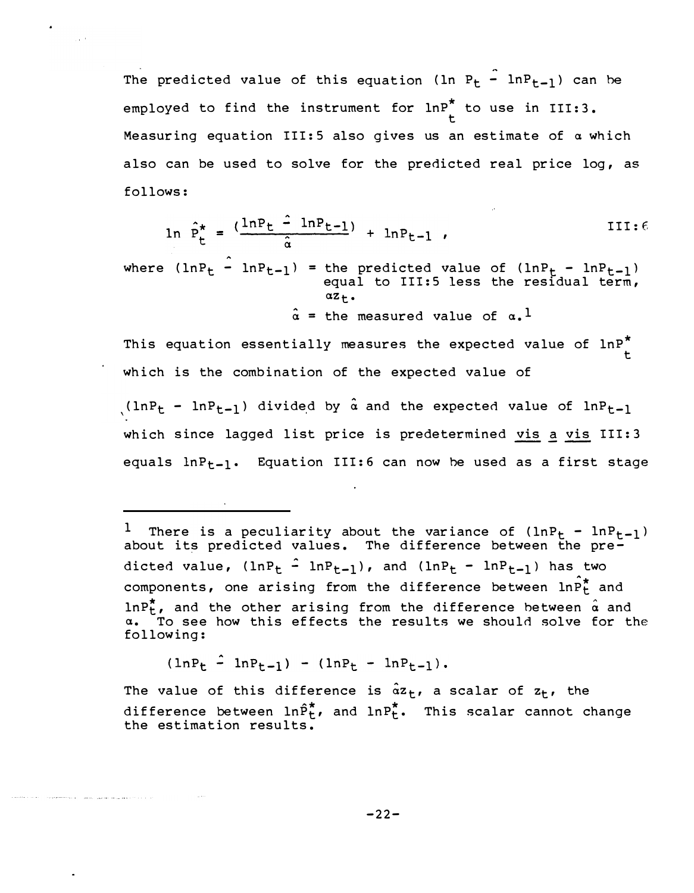The predicted value of this equation (ln  $P_t - np_{t-1}$ ) can be employed to find the instrument for  ${\tt lnP}^\star$  to use in III:3. t Measuring equation III: 5 also gives us an estimate of  $\alpha$  which also can be used to solve for the predicted real price log, as follows:

$$
\ln \hat{P}_t^* = \frac{(\ln P_t - \ln P_{t-1})}{\hat{\alpha}} + \ln P_{t-1} \quad (111.6)
$$

where (lnP<sub>t</sub>  $-$  lnP<sub>t-1</sub>) = the predicted value of (lnP<sub>t</sub> - lnP<sub>t-1</sub>) equal to III:5 less the residual term,  $\,$ azt•

 $\hat{\alpha}$  = the measured value of  $\alpha$ .<sup>1</sup>

This equation essentially measures the expected value of  ${\tt lnP}^\star$ t which is the combination of the expected value of

( $lnP_t$  -  $lnP_{t-1}$ ) divided by  $\alpha$  and the expected value of  $lnP_{t-1}$ which since lagged list price is predetermined vis a vis III:3 equals  $\ln P_{t-1}$ . Equation III:6 can now be used as a first stage

<sup>1</sup> There is a peculiarity about the variance of  $(lnP_t - lnP_{t-1})$ about its predicted values. The difference between the predicted value,  $(lnP_t - lnP_{t-1})$ , and  $(lnP_t - lnP_{t-1})$  has two components, one arising from the difference between  $\text{lnP}_t^*$  and  $lnP_t^{\pi}$ , and the other arising from the difference between  $\hat{\alpha}$  and  $\alpha$ . To see how this effects the results we should solve for the following:

 $(\ln P_t - \ln P_{t-1}) - (\ln P_t - \ln P_{t-1}).$ 

The value of this difference is  $az_t$ , a scalar of  $z_t$ , the difference between  $\ln \hat{P}_{t}^{*}$ , and  $\ln P_{t}^{*}$ . This scalar cannot change the estimation results.

 $-22-$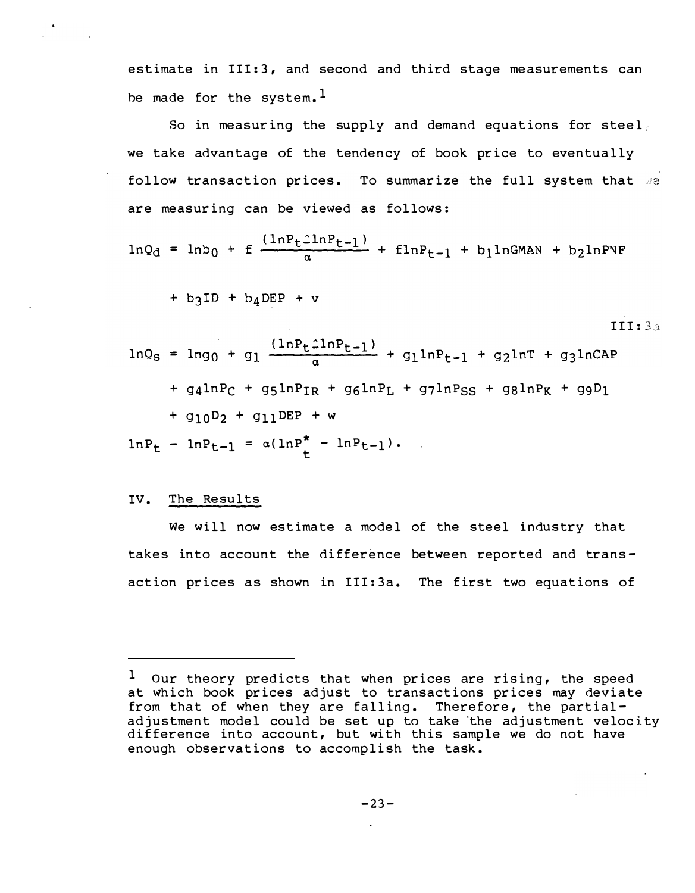estimate in III:3, and second and third stage measurements can be made for the system.<sup>1</sup>

So in measuring the supply and demand equations for steel, we take advantage of the tendency of book price to eventually follow transaction prices. To summarize the full system that  $\Re$ are measuring can be viewed as follows:

$$
lnQ_d = lnb_0 + f \frac{(lnP_t lnP_t - 1)}{\alpha} + flnP_{t-1} + b_1 lnGMAN + b_2 lnPNF
$$

+  $b_3ID$  +  $b_4$ DEP + v

$$
\textbf{III:} \, 3\,a
$$

$$
lnQ_S = lng_0 + g_1 \frac{(lnP_t \hat{=} lnP_{t-1})}{\alpha} + g_1 lnP_{t-1} + g_2 lnT + g_3 lnCAP
$$
  
+  $g_4 lnP_C + g_5 lnP_{IR} + g_6 lnP_L + g_7 lnP_{SS} + g_8 lnP_K + g_9 D_1$   
+  $g_1 0 D_2 + g_1 1 DEP + w$   

$$
lnP_t - lnP_{t-1} = \alpha (lnP_t^* - lnP_{t-1}).
$$

#### IV. The Results

We will now estimate a model of the steel industry that takes into account the difference bet ween reported and transaction prices as shown in III: 3a. The first two equations of

 $\mathcal{L}$ 

<sup>&</sup>lt;sup>1</sup> Our theory predicts that when prices are rising, the speed at which book prices adjust to transactions prices may deviate from that of when they are falling. Therefore, the partialadjustment model could be set up to take "the adjustment velocity difference into account, but with this sample we do not have enough observations to accomplish the task.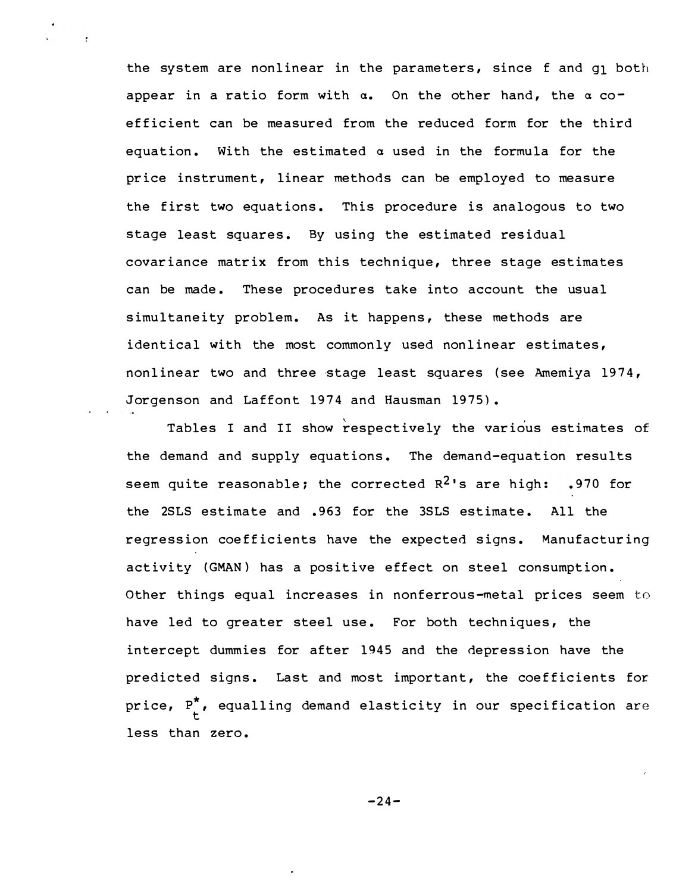the system are nonlinear in the parameters, since f and g<sub>l</sub> both appear in a ratio form with  $\alpha$ . On the other hand, the  $\alpha$  coef ficient can be measured from the reduced form for the third equation. With the estimated  $\alpha$  used in the formula for the price instrument, linear methods can be employed to measure the first two equations. This procedure is analogous to two stage least squares. By using the estimated residual covariance matrix from this technique, three stage estimates can be made. These procedures take into account the usual simultaneity problem. As it happens, these methods are identical with the most commonly used nonlinear estimates, nonlinear two and three ·stage least squares (see Amemiya 1974, Jorgenson and Laffont 1974 and Hausman 1975) .

Tables I and II show respectively the various estimates of the demand and supply equations. The demand-equation results seem quite reasonable; the corrected  $R^2$ 's are high: .970 for the 2SLS estimate and .963 for the 3SLS estimate. All the regression coefficients have the expected signs. Manufacturing activity (GMAN) has a positive effect on steel consumption. Other things equal increases in nonferrous-metal prices seem to have led to greater steel use. For both techniques, the intercept dummies for after 1945 and the depression have the predicted signs. Last and most important, the coefficients for price,  $P_{\cdot}^{*}$ , equalling demand elasticity in our specification are t less than zero.

 $-24-$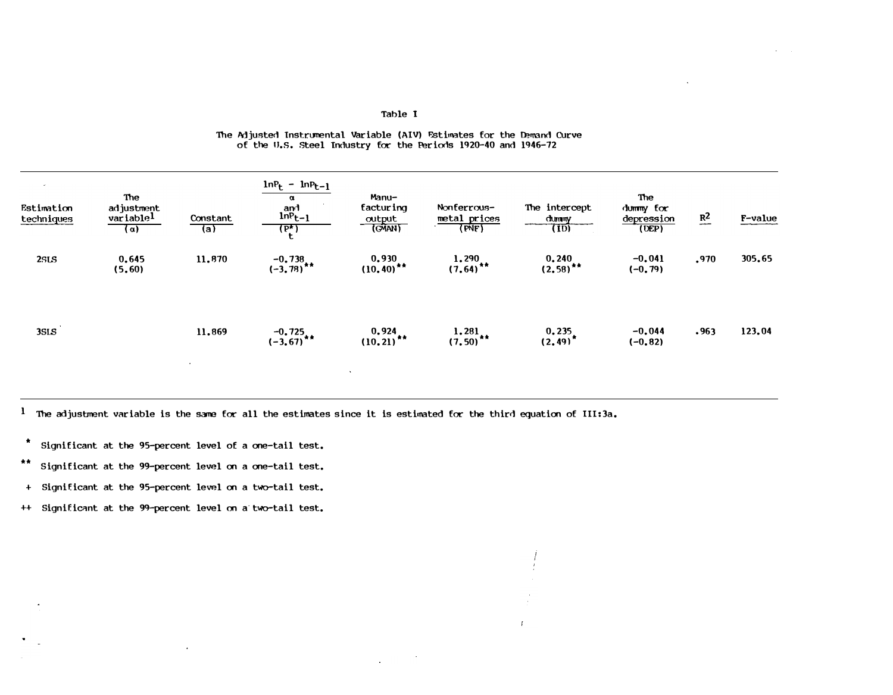#### Table I

| $\sim$<br>Estimation<br>techniques | The<br>adjustment<br>variablel<br>(a) | Constant<br>(a) | $1nP_t - lnP_{t-1}$<br>$\alpha$<br>an1<br>$1nP_{t-1}$<br>(एम) | Manu-<br>facturing<br>$\frac{\text{output}}{\text{(CMAN)}}$ | Nonferrous-<br>metal prices<br>(PNF) | The intercept<br>dumny<br>(1D) | The<br>dummy for<br>depression<br>(DEF) | $\underline{R}^2$ | <b>F-value</b> |
|------------------------------------|---------------------------------------|-----------------|---------------------------------------------------------------|-------------------------------------------------------------|--------------------------------------|--------------------------------|-----------------------------------------|-------------------|----------------|
| 2SLS                               | 0.645<br>(5, 60)                      | 11.870          | $-0.738$<br>(-3.78) <sup>**</sup>                             | $0.930$<br>(10.40) <sup>**</sup>                            | $1.290$<br>(7.64) <sup>**</sup>      | $0.240$<br>(2.58)**            | $-0.041$<br>$(-0, 79)$                  | .970              | 305.65         |
| 3SLS                               |                                       | 11.869          | $-0.725$<br>(-3.67) <sup>**</sup>                             | $0.924$<br>(10.21) <sup>**</sup>                            | $\frac{1.281}{(7.50)}$ **            | $0.235$<br>(2.49) <sup>*</sup> | $-0,044$<br>$(-0.82)$                   | .963              | 123.04         |

 $\mathbf{f}$ 

The Adjusted Instrumental Variable (AIV) Estimates for the Demand Curve of the U.S. Steel Industry for the Periods 1920-40 and 1946-72

<sup>1</sup> The adjustment variable is the same for all the estimates since it is estimated for the third equation of III:3a.

 $\pmb{\star}$ Significant at the 95-percent level of a one-tail test.

 $\star\star$ Significant at the 99-percent level on a one-tail test.

+ Significant at the 95-percent level on a two-tail test.

++ Significant at the 99-percent level on a two-tail test.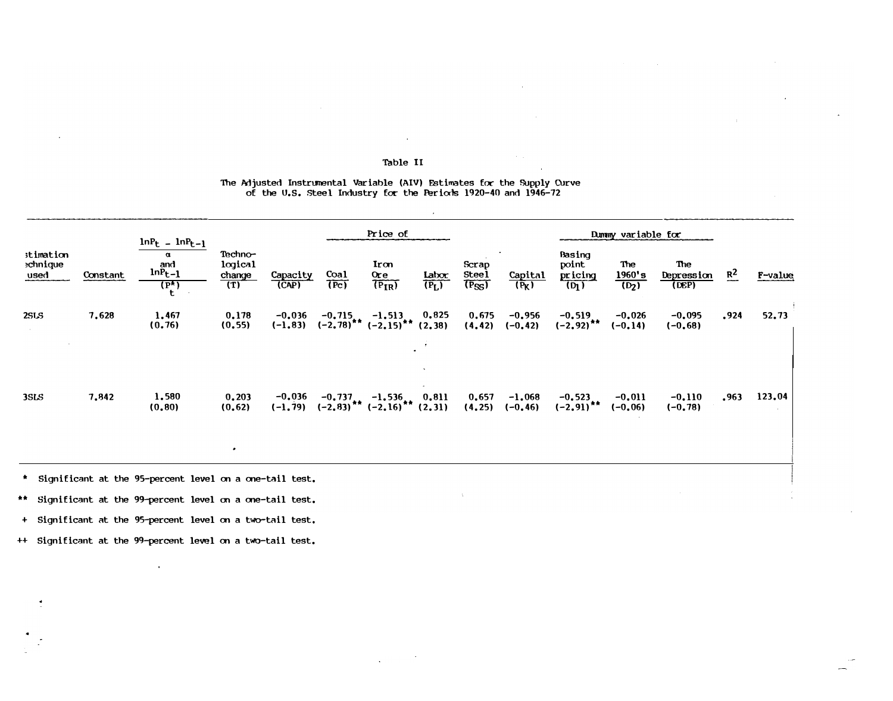#### Table II

l.

# The Adjusted Instrumental Variable (AIV) Estimates for the Supply Curve of the U.S. Steel Industry for the Periods 1920-40 and 1946-72

|                               |          | $1nP_t - 1nP_{t-1}$                                                                                                     |                                     |                                | Price of                         |                                                                                   |                                     |                                | Dunny variable for            |                                                             |                          |                            |                 |         |
|-------------------------------|----------|-------------------------------------------------------------------------------------------------------------------------|-------------------------------------|--------------------------------|----------------------------------|-----------------------------------------------------------------------------------|-------------------------------------|--------------------------------|-------------------------------|-------------------------------------------------------------|--------------------------|----------------------------|-----------------|---------|
| stimation<br>echnique<br>used | Constant | $\alpha$<br>and<br>$ln P_{t-1}$<br>$\frac{(\overline{P^*})}{t}$                                                         | Techno-<br>logical<br>change<br>(T) | Capacity<br>$\overline{(CAP)}$ | $\frac{\text{Coal}}{\ }$<br>(PC) | Iron<br>0 <sub>re</sub><br>$\widehat{\text{P}_{\text{IR}}}$                       | $\frac{1}{2}$<br>$\overline{(P_L)}$ | Scrap<br><b>Steel</b><br>(PSS) | Capital<br>$(\overline{P_K})$ | Basing<br>point<br>pricing<br>$\overline{(\mathfrak{d}_1)}$ | The<br>1960's<br>$(D_2)$ | The<br>Depression<br>(DEP) | $\frac{R^2}{4}$ | F-value |
| 2SLS                          | 7,628    | 1,467<br>(0.76)                                                                                                         | 0.178<br>(0.55)                     | $-0.036$<br>$(-1.83)$          | $-0.715$<br>(-2.78)**            | $-1.513$<br>(-2.15)**                                                             | 0.825<br>(2, 38)                    | 0.675<br>(4.42)                | $-0,956$<br>$(-0.42)$         | $-0.519$<br>$(-2.92)^{**}$                                  | $-0,026$<br>$(-0.14)$    | $-0,095$<br>$(-0.68)$      | .924            | 52.73   |
| 3SLS                          | 7,842    | 1,580<br>(0.80)                                                                                                         | 0,203<br>(0.62)                     | $-0.036$<br>$(-1, 79)$         |                                  | $-0.737$ $-1.536$ 0.811<br>$(-2.83)$ <sup>**</sup> $(-2.16)$ <sup>**</sup> (2.31) |                                     | 0,657<br>(4.25)                | $-1,068$<br>$(-0.46)$         | $-0.523$<br>(-2.91)**                                       | $-0.011$<br>$(-0.06)$    | $-0.110$<br>$(-0.78)$      | .963            | 123.04  |
|                               |          | * Significant at the 95-percent level on a one-tail test.<br>** Significant at the 99-percent level on a one-tail test. | ٠                                   |                                |                                  |                                                                                   |                                     |                                |                               |                                                             |                          |                            |                 |         |

+ Significant at the 95-percent level on a two-tail test.

++ Significant at the 99-percent level on a two-tail test.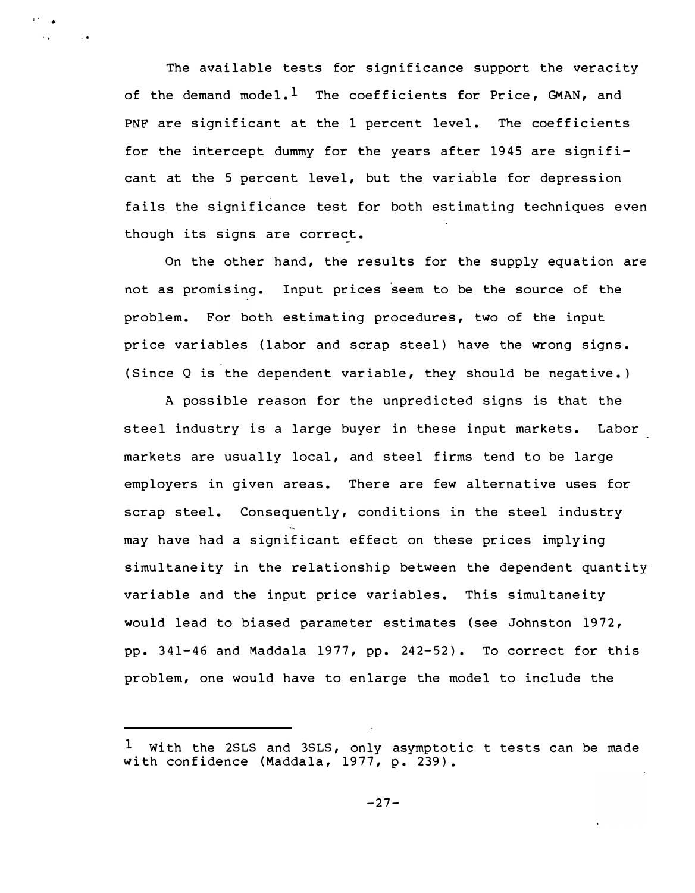The available tests for significance support the veracity of the demand model.<sup>1</sup> The coefficients for Price, GMAN, and PNF are significant at the 1 percent level. The coefficients for the intercept dummy for the years after 1945 are significant at the 5 percent level, but the variable for depression fails the significance test for both estimating techniques even though its signs are correct.

 $\cdot \cdot \cdot$ 

On the other hand, the results for the supply equation are not as promising. Input prices seem to be the source of the problem. For both estimating procedures, two of the input price variables (labor and scrap steel) have the wrong signs. (Since Q is the dependent variable, they should be negative.)

A possible reason for the unpredicted signs is that the steel industry is a large buyer in these input markets. Labor markets are usually local, and steel firms tend to be large employers in given areas. There are few alternative uses for scrap steel. Consequently, conditions in the steel industry may have had a significant effect on these prices implying simultaneity in the relationship between the dependent quantity variable and the input price variables. This simultaneity would lead to biased parameter estimates (see Johnston 1972, pp. 341-46 and Maddala 1977, pp. 242-52). To correct for this problem, one would have to enlarge the model to include the

<sup>&</sup>lt;sup>1</sup> With the 2SLS and 3SLS, only asymptotic t tests can be made with confidence (Maddala, 1977, p. 239).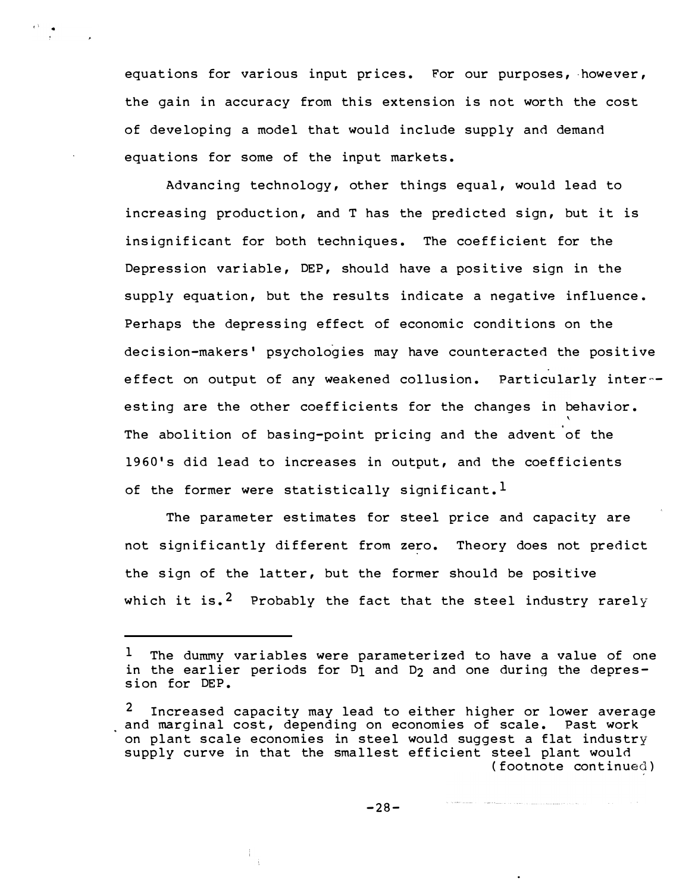equations for various input prices. For our purposes, however, the gain in accuracy from this extension is not worth the cost of developing a model that would include supply and demand equations for some of the input markets.

esting are the other coefficients for the changes in behavior.  $\,$ The abolition of basing-point pricing and the advent of the Advancing technology, other things equal, would lead to increasing production, and T has the predicted sign, but it is insignificant for both techniques. The coefficient for the Depression variable, DEP, should have a positive sign in the supply equation, but the results indicate a negative influence. Perhaps the depressing effect of economic conditions on the decision-makers' psychologies may have counteracted the positive effect on output of any weakened collusion. Particularly inter-1960's did lead to increases in output, and the coefficients of the former were statistically significant.<sup>1</sup>

The parameter estimates for steel price and capacity are not significantly di fferent from zero. Theory does not predict the sign of the latter, but the former should be positive which it is.<sup>2</sup> Probably the fact that the steel industry rarely

 $1$  The dummy variables were parameterized to have a value of one in the earlier periods for  $D_1$  and  $D_2$  and one during the depression for DEP.

 $2$  Increased capacity may lead to either higher or lower average and marginal cost, depending on economies of scale. Past work on plant scale economies in steel would suggest a flat industry supply curve in that the smallest efficient steel plant would ( footnote continued)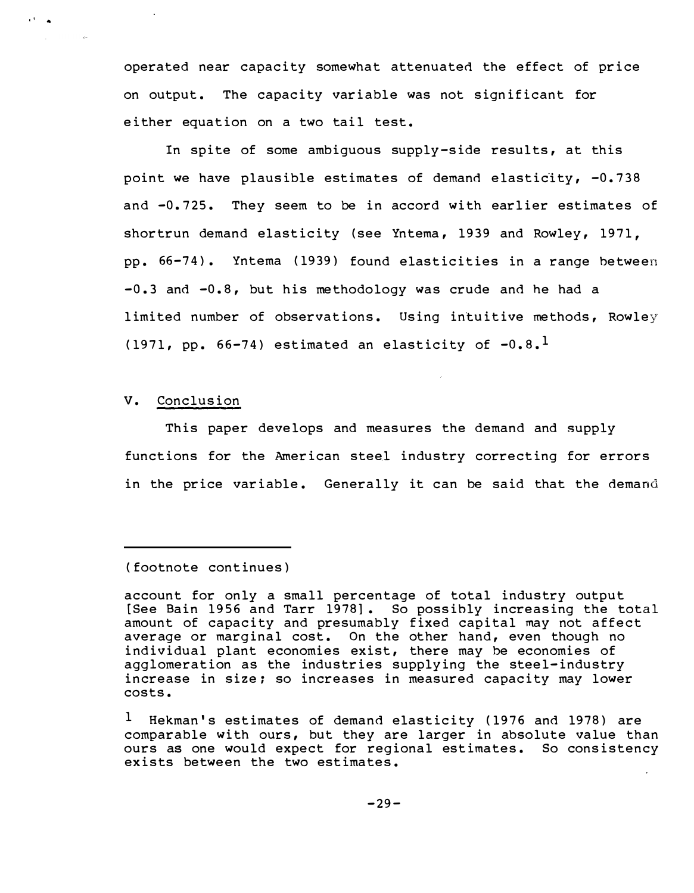operated near capacity somewhat attenuated the effect of price on output. The capacity variable was not significant for either equation on a two tail test.

In spite of some ambiguous supply-side results, at this point we have plausible estimates of demand elasticity,  $-0.738$ and -0. 725. They seem to be in accord with earlier estimates of shortrun demand elasticity (see Yntema, 1939 and Rowley, 1971, pp. 66-74). Yntema (1939) found elasticities in a range between -0.3 and -0.8, but his methodology was crude and he had a limited number of obser vations. Using intuitive methods, Rowley (1971, pp. 66-74) estimated an elasticity of  $-0.8$ .<sup>1</sup>

## v. Conclusion

 $\mathbf{r}^{\mathrm{t}}$  ...

This paper develops and measures the demand and supply functions for the American steel industry correcting for errors in the price variable. Generally it can be said that the demand

( footnote continues)

account for only a small percentage of total industry output [See Bain 1956 and Tarr 1978]. So possibly increasing the total amount of capacity and presumably fixed capital may not affect average or marginal cost. On the other hand, even though no individual plant economies exist, there may be economies of agglomeration as the industries supplying the steel-industry increase in size; so increases in measured capacity may lower costs.

<sup>&</sup>lt;sup>1</sup> Hekman's estimates of demand elasticity (1976 and 1978) are comparable with ours, but they are larger in absolute value than ours as one would expect for regional estimates. So consistency exists between the two estimates.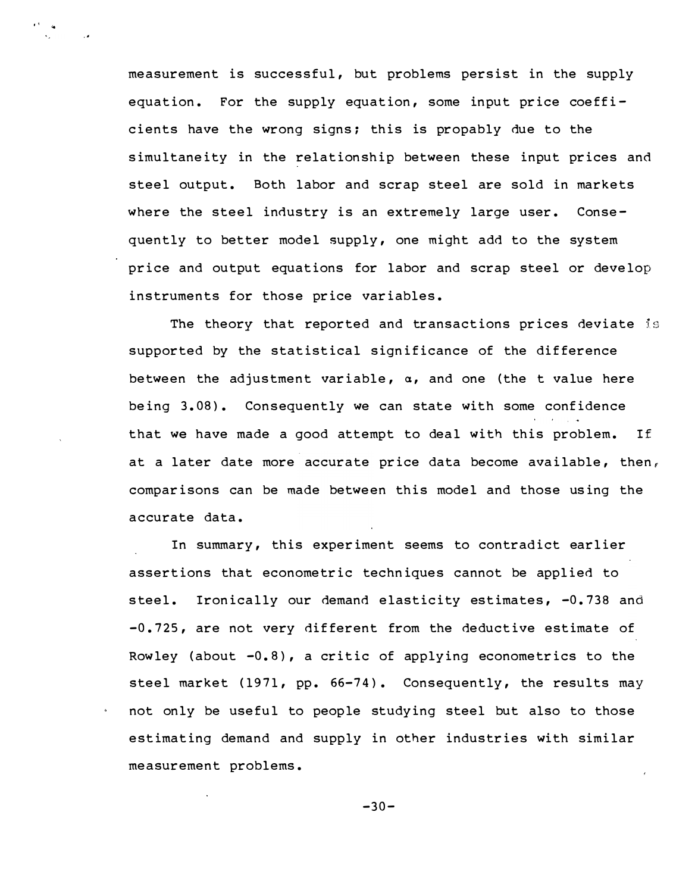measurement is successful, but problems persist in the supply equation. For the supply equation, some input price coefficients have the wrong signs; this is propably due to the simultaneity in the relationship between these input prices and steel output. Both labor and scrap steel are sold in markets where the steel industry is an extremely large user. Consequently to better model supply, one might add to the system price and output equations for labor and scrap steel or develop instruments for those price variables.

•' "

The theory that reported and transactions prices deviate is supported by the statistical significance of the difference between the adjustment variable,  $\alpha$ , and one (the t value here being 3.08). Consequently we can state with some confidence that we have made a good attempt to deal with this problem. If at a later date more accurate price data become available, then, comparisons can be made between this model and those using the accurate data.

In summary, this experiment seems to contradict earlier assertions that econometric techniques cannot be applied to steel. Ironically our demand elasticity estimates, -0.738 and  $-0.725$ , are not very different from the deductive estimate of Rowley (about  $-0.8$ ), a critic of applying econometrics to the steel market (1971, pp.  $66-74$ ). Consequently, the results may not only be useful to people studying steel but also to those estimating demand and supply in other industries with similar measurement problems.

 $-30-$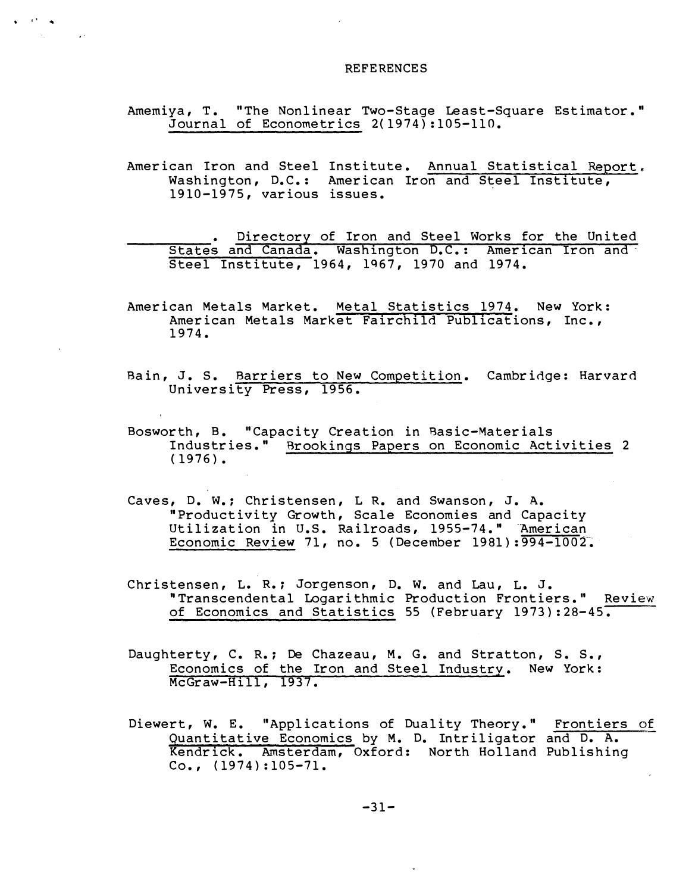#### **REFERENCES**

Amemiya, T. "The Nonlinear Two-Stage Least-Square Estimator." Journal of Econometrics 2(1974):105-110.

American Iron and Steel Institute. Annual Statistical Report. Washington, D.C.: American Iron and Steel Institute, 1910-1975, various issues.

. Directory of Iron and Steel Works for the United States and Canada. Washington D.C.: American Iron and Steel Institute, 1964, 1967, 1970 and 1974.

American Metals Market. Metal Statistics 1974. New York: American Metals Market Fairchild Publications, Inc., 1974.

Bain, J. S. Barriers to New Competition. Cambridge: Harvard University Press, 1956.

- Bosworth, B. "Capacity Creation in Basic-Materials Industries." Brookings Papers on Economic Activities 2  $(1976)$ .
- Caves, D. W.; Christensen, L R. and Swanson, J. A. "Productivity Growth, Scale Economies and Capacity Utilization in U.S. Railroads, 1955-74." American Economic Review 71, no. 5 (December 1981): 994-1002.
- Christensen, L. R.; Jorgenson, D. W. and Lau, L. J. "Transcendental Logarithmic Production Frontiers." Review of Economics and Statistics 55 (February 1973):28-45.
- Daughterty, C. R.; De Chazeau, M. G. and Stratton, S. S., Economics of the Iron and Steel Industry. New York: McGraw-Hill, 1937.
- Diewert, W. E. "Applications of Duality Theory." Frontiers of Quantitative Economics by M. D. Intriligator and D. A. Kendrick. Amsterdam, Oxford: North Holland Publishing  $Co., (1974): 105-71.$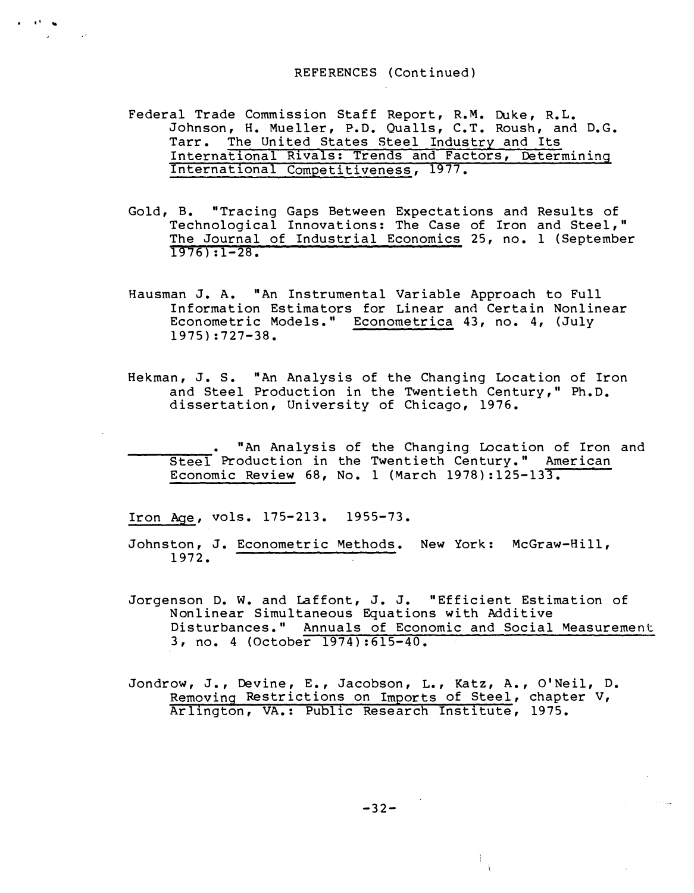#### REFERENCES (Continued)

- Federal Trade Commission Staff Report, R.M. Duke, R.L. Johnson, H. Mueller, P.D. Qualls, C.T. Roush, and D.G. Tarr. The United States Steel Industry and Its International Rivals: Trends and Factors, Determining International Competitiveness, 1977.
- Gold, B. "Tracing Gaps Between Expectations and Results of Technological Innovations: The Case of Iron and Steel," The Journal of Industrial Economics 25, no. 1 (September  $1976$ ):  $1 - 28$ .
- Hausman J. A. "An Instrumental Variable Approach to Full Information Estimators for Linear and Certain Nonlinear Econometric Models." Econometrica 43, no. 4, (July  $1975$ : 727-38.
- Hekman, J. S. "An Analysis of the Changing Location of Iron and Steel Production in the Twentieth Century," Ph.D. dissertation, University of Chicago, 1976.
	- "An Analysis of the Changing Location of Iron and Steel Production in the Twentieth Century." American Economic Review 68, No. 1 (March 1978):125-133.

Iron Age, vols. 175-213. 1955-73.

- Johnston, J. Econometric Methods. New York: McGraw-Hill, 1972.
- Jorgenson D. W. and Laffont, J. J. "Efficient Estimation of<br>Nonlinear Simultaneous Equations with Additive Disturbances." Annuals of Economic and Social Measurement 3, no. 4 (October 1974):615-40.

Jondrow, J., Devine, E., Jacobson, L., Katz, A., O'Neil, D. Removing Restrictions on Imports of Steel, chapter V, Arlington, VA.: Public Research Institute, 1975.

 $\frac{1}{4}$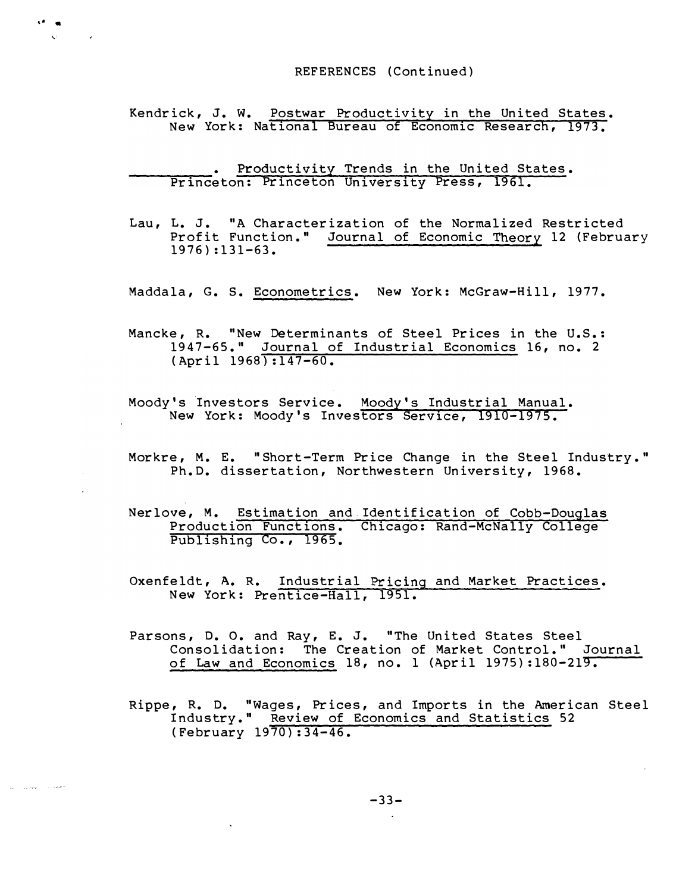#### REFERENCES (Continued)

Kendrick, J. W. Postwar Productivity in the United States. New York: National Bureau of Economic Research, 1973.

 $\mathbf{A}$ 

. Productivity Trends in the United States. Princeton: Princeton University Press, 1961.

Lau, L. J. "A Characterization of the Normalized Restricted Profit Function." Journal of Economic Theory 12 (February  $1976$ ): $131-63$ .

Maddala, G. S. Econometrics. New York: McGraw-Hill, 1977.

Mancke, R. "New Determinants of Steel Prices in the U.S.: 1947-65." Journal of Industrial Economics 16, no. 2  $(April 1968) : 147-60.$ 

Moody's Investors Service. Moody's Industrial Manual. New York: Moody's Investors Service, 1910-1975.

Morkre, M. E. "Short-Term Price Change in the Steel Industry." Ph.D. dissertation, Northwestern University, 1968.

Nerlove, M. Estimation and Identification of Cobb-Douglas Production Functions. Chicago: Rand-McNally College Publishing Co., 1965.

Oxenfeldt, A. R. Industrial Pricing and Market Practices. New York: Prentice-Hall, 1951.

Parsons, D. O. and Ray, E. J. "The United States Steel Consolidation: The Creation of Market Control." Journal of Law and Economics 18, no. 1 (April 1975):180-219.

Rippe, R. D. "Wages, Prices, and Imports in the American Steel Industry." Review of Economics and Statistics 52 (February 1970):34-46.